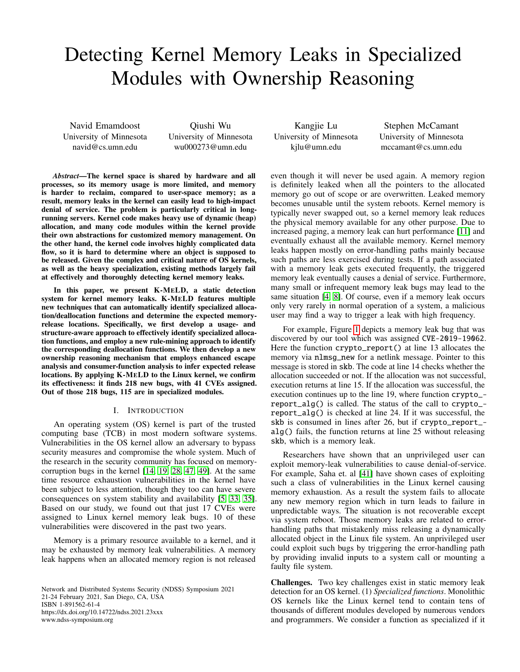# Detecting Kernel Memory Leaks in Specialized Modules with Ownership Reasoning

Navid Emamdoost University of Minnesota navid@cs.umn.edu

Qiushi Wu University of Minnesota wu000273@umn.edu

*Abstract*—The kernel space is shared by hardware and all processes, so its memory usage is more limited, and memory is harder to reclaim, compared to user-space memory; as a result, memory leaks in the kernel can easily lead to high-impact denial of service. The problem is particularly critical in longrunning servers. Kernel code makes heavy use of dynamic (heap) allocation, and many code modules within the kernel provide their own abstractions for customized memory management. On the other hand, the kernel code involves highly complicated data flow, so it is hard to determine where an object is supposed to be released. Given the complex and critical nature of OS kernels, as well as the heavy specialization, existing methods largely fail at effectively and thoroughly detecting kernel memory leaks.

In this paper, we present K-MELD, a static detection system for kernel memory leaks. K-MELD features multiple new techniques that can automatically identify specialized allocation/deallocation functions and determine the expected memoryrelease locations. Specifically, we first develop a usage- and structure-aware approach to effectively identify specialized allocation functions, and employ a new rule-mining approach to identify the corresponding deallocation functions. We then develop a new ownership reasoning mechanism that employs enhanced escape analysis and consumer-function analysis to infer expected release locations. By applying K-MELD to the Linux kernel, we confirm its effectiveness: it finds 218 new bugs, with 41 CVEs assigned. Out of those 218 bugs, 115 are in specialized modules.

#### I. INTRODUCTION

An operating system (OS) kernel is part of the trusted computing base (TCB) in most modern software systems. Vulnerabilities in the OS kernel allow an adversary to bypass security measures and compromise the whole system. Much of the research in the security community has focused on memorycorruption bugs in the kernel [\[14,](#page-13-0) [19,](#page-13-1) [28,](#page-13-2) [47,](#page-14-0) [49\]](#page-14-1). At the same time resource exhaustion vulnerabilities in the kernel have been subject to less attention, though they too can have severe consequences on system stability and availability [\[5,](#page-13-3) [33,](#page-14-2) [35\]](#page-14-3). Based on our study, we found out that just 17 CVEs were assigned to Linux kernel memory leak bugs. 10 of these vulnerabilities were discovered in the past two years.

Memory is a primary resource available to a kernel, and it may be exhausted by memory leak vulnerabilities. A memory leak happens when an allocated memory region is not released

Network and Distributed Systems Security (NDSS) Symposium 2021 21-24 February 2021, San Diego, CA, USA ISBN 1-891562-61-4 https://dx.doi.org/10.14722/ndss.2021.23xxx www.ndss-symposium.org

Kangjie Lu University of Minnesota kjlu@umn.edu

Stephen McCamant University of Minnesota mccamant@cs.umn.edu

even though it will never be used again. A memory region is definitely leaked when all the pointers to the allocated memory go out of scope or are overwritten. Leaked memory becomes unusable until the system reboots. Kernel memory is typically never swapped out, so a kernel memory leak reduces the physical memory available for any other purpose. Due to increased paging, a memory leak can hurt performance [\[11\]](#page-13-4) and eventually exhaust all the available memory. Kernel memory leaks happen mostly on error-handling paths mainly because such paths are less exercised during tests. If a path associated with a memory leak gets executed frequently, the triggered memory leak eventually causes a denial of service. Furthermore, many small or infrequent memory leak bugs may lead to the same situation [\[4,](#page-13-5) [8\]](#page-13-6). Of course, even if a memory leak occurs only very rarely in normal operation of a system, a malicious user may find a way to trigger a leak with high frequency.

For example, Figure [1](#page-1-0) depicts a memory leak bug that was discovered by our tool which was assigned CVE-2019-19062. Here the function crypto\_report() at line 13 allocates the memory via nlmsg\_new for a netlink message. Pointer to this message is stored in skb. The code at line 14 checks whether the allocation succeeded or not. If the allocation was not successful, execution returns at line 15. If the allocation was successful, the execution continues up to the line 19, where function crypto\_ report\_alg() is called. The status of the call to crypto\_ report\_alg() is checked at line 24. If it was successful, the skb is consumed in lines after 26, but if crypto\_report\_ alg() fails, the function returns at line 25 without releasing skb, which is a memory leak.

Researchers have shown that an unprivileged user can exploit memory-leak vulnerabilities to cause denial-of-service. For example, Saha et. al [\[41\]](#page-14-4) have shown cases of exploiting such a class of vulnerabilities in the Linux kernel causing memory exhaustion. As a result the system fails to allocate any new memory region which in turn leads to failure in unpredictable ways. The situation is not recoverable except via system reboot. Those memory leaks are related to errorhandling paths that mistakenly miss releasing a dynamically allocated object in the Linux file system. An unprivileged user could exploit such bugs by triggering the error-handling path by providing invalid inputs to a system call or mounting a faulty file system.

Challenges. Two key challenges exist in static memory leak detection for an OS kernel. (1) *Specialized functions*. Monolithic OS kernels like the Linux kernel tend to contain tens of thousands of different modules developed by numerous vendors and programmers. We consider a function as specialized if it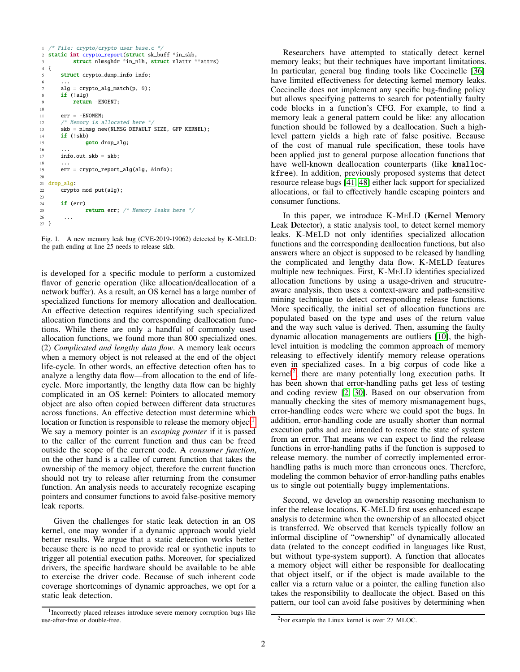```
1 /* File: crypto/crypto_user_base.c */
2 static int crypto_report(struct sk_buff *in_skb,
3 struct nlmsghdr *in_nlh, struct nlattr **attrs)
4 {
5 struct crypto_dump_info info;
 6 \qquad \ldots7 \text{ alg} = \text{crypto\_alg\_match}(p, \emptyset);8 if (!alg)
9 return -ENOENT;
10
11 err = -ENOMEM;12 \frac{1}{2} Memory is allocated here \frac{x}{13}<br>
skb = nlmsg_new(NLMSG_DEFAULT_1)
       skb = nlmsg_new(NLMSC_DEFAULT_SIZE, GFP_KERNEL);
14 if (!skb)
15 goto drop_alg;
16 ...
17 info.out_skb = skb;
18
19 err = crypto_report_alg(alg, &info);
20
21 drop_alg:
22 crypto_mod_put(alg);
23
24 if (err)
25 return err; /* Memory leaks here */
26 ...
27 }
```
<span id="page-1-0"></span>Fig. 1. A new memory leak bug (CVE-2019-19062) detected by K-MELD: the path ending at line 25 needs to release skb.

is developed for a specific module to perform a customized flavor of generic operation (like allocation/deallocation of a network buffer). As a result, an OS kernel has a large number of specialized functions for memory allocation and deallocation. An effective detection requires identifying such specialized allocation functions and the corresponding deallocation functions. While there are only a handful of commonly used allocation functions, we found more than 800 specialized ones. (2) *Complicated and lengthy data flow*. A memory leak occurs when a memory object is not released at the end of the object life-cycle. In other words, an effective detection often has to analyze a lengthy data flow—from allocation to the end of lifecycle. More importantly, the lengthy data flow can be highly complicated in an OS kernel: Pointers to allocated memory object are also often copied between different data structures across functions. An effective detection must determine which location or function is responsible to release the memory object<sup>[1](#page-1-1)</sup>. We say a memory pointer is an *escaping pointer* if it is passed to the caller of the current function and thus can be freed outside the scope of the current code. A *consumer function*, on the other hand is a callee of current function that takes the ownership of the memory object, therefore the current function should not try to release after returning from the consumer function. An analysis needs to accurately recognize escaping pointers and consumer functions to avoid false-positive memory leak reports.

Given the challenges for static leak detection in an OS kernel, one may wonder if a dynamic approach would yield better results. We argue that a static detection works better because there is no need to provide real or synthetic inputs to trigger all potential execution paths. Moreover, for specialized drivers, the specific hardware should be available to be able to exercise the driver code. Because of such inherent code coverage shortcomings of dynamic approaches, we opt for a static leak detection.

Researchers have attempted to statically detect kernel memory leaks; but their techniques have important limitations. In particular, general bug finding tools like Coccinelle [\[36\]](#page-14-5) have limited effectiveness for detecting kernel memory leaks. Coccinelle does not implement any specific bug-finding policy but allows specifying patterns to search for potentially faulty code blocks in a function's CFG. For example, to find a memory leak a general pattern could be like: any allocation function should be followed by a deallocation. Such a highlevel pattern yields a high rate of false positive. Because of the cost of manual rule specification, these tools have been applied just to general purpose allocation functions that have well-known deallocation counterparts (like kmallockfree). In addition, previously proposed systems that detect resource release bugs [\[41,](#page-14-4) [48\]](#page-14-6) either lack support for specialized allocations, or fail to effectively handle escaping pointers and consumer functions.

In this paper, we introduce K-MELD (Kernel Memory Leak Detector), a static analysis tool, to detect kernel memory leaks. K-MELD not only identifies specialized allocation functions and the corresponding deallocation functions, but also answers where an object is supposed to be released by handling the complicated and lengthy data flow. K-MELD features multiple new techniques. First, K-MELD identifies specialized allocation functions by using a usage-driven and strucutreaware analysis, then uses a context-aware and path-sensitive mining technique to detect corresponding release functions. More specifically, the initial set of allocation functions are populated based on the type and uses of the return value and the way such value is derived. Then, assuming the faulty dynamic allocation managements are outliers [\[10\]](#page-13-7), the highlevel intuition is modeling the common approach of memory releasing to effectively identify memory release operations even in specialized cases. In a big corpus of code like a kernel<sup>[2](#page-1-2)</sup>, there are many potentially long execution paths. It has been shown that error-handling paths get less of testing and coding review [\[2,](#page-13-8) [30\]](#page-14-7). Based on our observation from manually checking the sites of memory mismanagement bugs, error-handling codes were where we could spot the bugs. In addition, error-handling code are usually shorter than normal execution paths and are intended to restore the state of system from an error. That means we can expect to find the release functions in error-handling paths if the function is supposed to release memory. the number of correctly implemented errorhandling paths is much more than erroneous ones. Therefore, modeling the common behavior of error-handling paths enables us to single out potentially buggy implementations.

Second, we develop an ownership reasoning mechanism to infer the release locations. K-MELD first uses enhanced escape analysis to determine when the ownership of an allocated object is transferred. We observed that kernels typically follow an informal discipline of "ownership" of dynamically allocated data (related to the concept codified in languages like Rust, but without type-system support). A function that allocates a memory object will either be responsible for deallocating that object itself, or if the object is made available to the caller via a return value or a pointer, the calling function also takes the responsibility to deallocate the object. Based on this pattern, our tool can avoid false positives by determining when

<span id="page-1-1"></span><sup>&</sup>lt;sup>1</sup> Incorrectly placed releases introduce severe memory corruption bugs like use-after-free or double-free.

<span id="page-1-2"></span><sup>2</sup>For example the Linux kernel is over 27 MLOC.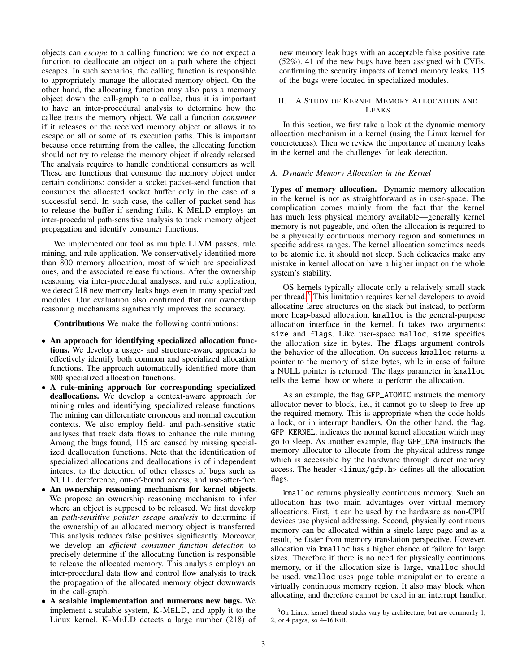objects can *escape* to a calling function: we do not expect a function to deallocate an object on a path where the object escapes. In such scenarios, the calling function is responsible to appropriately manage the allocated memory object. On the other hand, the allocating function may also pass a memory object down the call-graph to a callee, thus it is important to have an inter-procedural analysis to determine how the callee treats the memory object. We call a function *consumer* if it releases or the received memory object or allows it to escape on all or some of its execution paths. This is important because once returning from the callee, the allocating function should not try to release the memory object if already released. The analysis requires to handle conditional consumers as well. These are functions that consume the memory object under certain conditions: consider a socket packet-send function that consumes the allocated socket buffer only in the case of a successful send. In such case, the caller of packet-send has to release the buffer if sending fails. K-MELD employs an inter-procedural path-sensitive analysis to track memory object propagation and identify consumer functions.

We implemented our tool as multiple LLVM passes, rule mining, and rule application. We conservatively identified more than 800 memory allocation, most of which are specialized ones, and the associated release functions. After the ownership reasoning via inter-procedural analyses, and rule application, we detect 218 new memory leaks bugs even in many specialized modules. Our evaluation also confirmed that our ownership reasoning mechanisms significantly improves the accuracy.

Contributions We make the following contributions:

- An approach for identifying specialized allocation functions. We develop a usage- and structure-aware approach to effectively identify both common and specialized allocation functions. The approach automatically identified more than 800 specialized allocation functions.
- A rule-mining approach for corresponding specialized deallocations. We develop a context-aware approach for mining rules and identifying specialized release functions. The mining can differentiate erroneous and normal execution contexts. We also employ field- and path-sensitive static analyses that track data flows to enhance the rule mining. Among the bugs found, 115 are caused by missing specialized deallocation functions. Note that the identification of specialized allocations and deallocations is of independent interest to the detection of other classes of bugs such as NULL dereference, out-of-bound access, and use-after-free.
- An ownership reasoning mechanism for kernel objects. We propose an ownership reasoning mechanism to infer where an object is supposed to be released. We first develop an *path-sensitive pointer escape analysis* to determine if the ownership of an allocated memory object is transferred. This analysis reduces false positives significantly. Moreover, we develop an *efficient consumer function detection* to precisely determine if the allocating function is responsible to release the allocated memory. This analysis employs an inter-procedural data flow and control flow analysis to track the propagation of the allocated memory object downwards in the call-graph.
- A scalable implementation and numerous new bugs. We implement a scalable system, K-MELD, and apply it to the Linux kernel. K-MELD detects a large number (218) of

new memory leak bugs with an acceptable false positive rate (52%). 41 of the new bugs have been assigned with CVEs, confirming the security impacts of kernel memory leaks. 115 of the bugs were located in specialized modules.

## II. A STUDY OF KERNEL MEMORY ALLOCATION AND LEAKS

In this section, we first take a look at the dynamic memory allocation mechanism in a kernel (using the Linux kernel for concreteness). Then we review the importance of memory leaks in the kernel and the challenges for leak detection.

# *A. Dynamic Memory Allocation in the Kernel*

Types of memory allocation. Dynamic memory allocation in the kernel is not as straightforward as in user-space. The complication comes mainly from the fact that the kernel has much less physical memory available—generally kernel memory is not pageable, and often the allocation is required to be a physically continuous memory region and sometimes in specific address ranges. The kernel allocation sometimes needs to be atomic i.e. it should not sleep. Such delicacies make any mistake in kernel allocation have a higher impact on the whole system's stability.

OS kernels typically allocate only a relatively small stack per thread.[3](#page-2-0) This limitation requires kernel developers to avoid allocating large structures on the stack but instead, to perform more heap-based allocation. kmalloc is the general-purpose allocation interface in the kernel. It takes two arguments: size and flags. Like user-space malloc, size specifies the allocation size in bytes. The flags argument controls the behavior of the allocation. On success kmalloc returns a pointer to the memory of size bytes, while in case of failure a NULL pointer is returned. The flags parameter in kmalloc tells the kernel how or where to perform the allocation.

As an example, the flag GFP\_ATOMIC instructs the memory allocator never to block, i.e., it cannot go to sleep to free up the required memory. This is appropriate when the code holds a lock, or in interrupt handlers. On the other hand, the flag, GFP\_KERNEL, indicates the normal kernel allocation which may go to sleep. As another example, flag GFP\_DMA instructs the memory allocator to allocate from the physical address range which is accessible by the hardware through direct memory access. The header <linux/gfp.h> defines all the allocation flags.

kmalloc returns physically continuous memory. Such an allocation has two main advantages over virtual memory allocations. First, it can be used by the hardware as non-CPU devices use physical addressing. Second, physically continuous memory can be allocated within a single large page and as a result, be faster from memory translation perspective. However, allocation via kmalloc has a higher chance of failure for large sizes. Therefore if there is no need for physically continuous memory, or if the allocation size is large, vmalloc should be used. vmalloc uses page table manipulation to create a virtually continuous memory region. It also may block when allocating, and therefore cannot be used in an interrupt handler.

<span id="page-2-0"></span><sup>3</sup>On Linux, kernel thread stacks vary by architecture, but are commonly 1, 2, or 4 pages, so 4–16 KiB.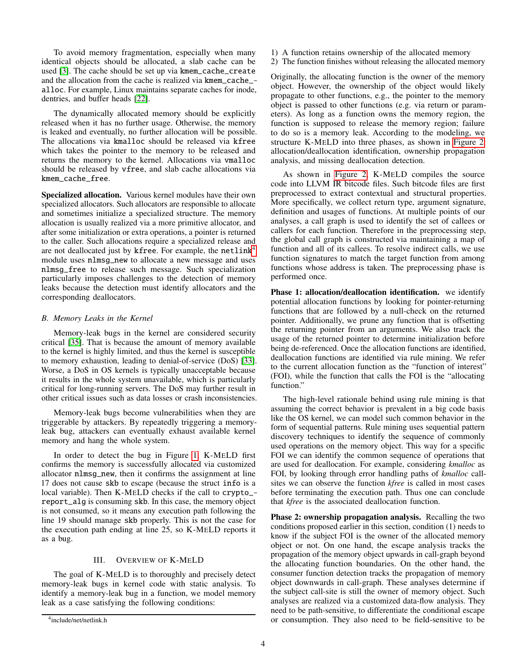To avoid memory fragmentation, especially when many identical objects should be allocated, a slab cache can be used [\[3\]](#page-13-9). The cache should be set up via kmem\_cache\_create and the allocation from the cache is realized via kmem\_cache\_ alloc. For example, Linux maintains separate caches for inode, dentries, and buffer heads [\[22\]](#page-13-10).

The dynamically allocated memory should be explicitly released when it has no further usage. Otherwise, the memory is leaked and eventually, no further allocation will be possible. The allocations via kmalloc should be released via kfree which takes the pointer to the memory to be released and returns the memory to the kernel. Allocations via vmalloc should be released by vfree, and slab cache allocations via kmem\_cache\_free.

Specialized allocation. Various kernel modules have their own specialized allocators. Such allocators are responsible to allocate and sometimes initialize a specialized structure. The memory allocation is usually realized via a more primitive allocator, and after some initialization or extra operations, a pointer is returned to the caller. Such allocations require a specialized release and are not deallocated just by kfree. For example, the netlink<sup>[4](#page-3-0)</sup> module uses nlmsg\_new to allocate a new message and uses nlmsg\_free to release such message. Such specialization particularly imposes challenges to the detection of memory leaks because the detection must identify allocators and the corresponding deallocators.

# *B. Memory Leaks in the Kernel*

Memory-leak bugs in the kernel are considered security critical [\[35\]](#page-14-3). That is because the amount of memory available to the kernel is highly limited, and thus the kernel is susceptible to memory exhaustion, leading to denial-of-service (DoS) [\[33\]](#page-14-2). Worse, a DoS in OS kernels is typically unacceptable because it results in the whole system unavailable, which is particularly critical for long-running servers. The DoS may further result in other critical issues such as data losses or crash inconsistencies.

Memory-leak bugs become vulnerabilities when they are triggerable by attackers. By repeatedly triggering a memoryleak bug, attackers can eventually exhaust available kernel memory and hang the whole system.

In order to detect the bug in Figure [1,](#page-1-0) K-MELD first confirms the memory is successfully allocated via customized allocator nlmsg\_new, then it confirms the assignment at line 17 does not cause skb to escape (because the struct info is a local variable). Then K-MELD checks if the call to crypto\_ report\_alg is consuming skb. In this case, the memory object is not consumed, so it means any execution path following the line 19 should manage skb properly. This is not the case for the execution path ending at line 25, so K-MELD reports it as a bug.

# III. OVERVIEW OF K-MELD

<span id="page-3-1"></span>The goal of K-MELD is to thoroughly and precisely detect memory-leak bugs in kernel code with static analysis. To identify a memory-leak bug in a function, we model memory leak as a case satisfying the following conditions:

- 1) A function retains ownership of the allocated memory
- 2) The function finishes without releasing the allocated memory

Originally, the allocating function is the owner of the memory object. However, the ownership of the object would likely propagate to other functions, e.g., the pointer to the memory object is passed to other functions (e.g. via return or parameters). As long as a function owns the memory region, the function is supposed to release the memory region; failure to do so is a memory leak. According to the modeling, we structure K-MELD into three phases, as shown in [Figure 2:](#page-4-0) allocation/deallocation identification, ownership propagation analysis, and missing deallocation detection.

As shown in [Figure 2,](#page-4-0) K-MELD compiles the source code into LLVM IR bitcode files. Such bitcode files are first preprocessed to extract contextual and structural properties. More specifically, we collect return type, argument signature, definition and usages of functions. At multiple points of our analyses, a call graph is used to identify the set of callees or callers for each function. Therefore in the preprocessing step, the global call graph is constructed via maintaining a map of function and all of its callees. To resolve indirect calls, we use function signatures to match the target function from among functions whose address is taken. The preprocessing phase is performed once.

Phase 1: allocation/deallocation identification. we identify potential allocation functions by looking for pointer-returning functions that are followed by a null-check on the returned pointer. Additionally, we prune any function that is offsetting the returning pointer from an arguments. We also track the usage of the returned pointer to determine initialization before being de-referenced. Once the allocation functions are identified, deallocation functions are identified via rule mining. We refer to the current allocation function as the "function of interest" (FOI), while the function that calls the FOI is the "allocating function."

The high-level rationale behind using rule mining is that assuming the correct behavior is prevalent in a big code basis like the OS kernel, we can model such common behavior in the form of sequential patterns. Rule mining uses sequential pattern discovery techniques to identify the sequence of commonly used operations on the memory object. This way for a specific FOI we can identify the common sequence of operations that are used for deallocation. For example, considering *kmalloc* as FOI, by looking through error handling paths of *kmalloc* callsites we can observe the function *kfree* is called in most cases before terminating the execution path. Thus one can conclude that *kfree* is the associated deallocation function.

Phase 2: ownership propagation analysis. Recalling the two conditions proposed earlier in this section, condition (1) needs to know if the subject FOI is the owner of the allocated memory object or not. On one hand, the escape analysis tracks the propagation of the memory object upwards in call-graph beyond the allocating function boundaries. On the other hand, the consumer function detection tracks the propagation of memory object downwards in call-graph. These analyses determine if the subject call-site is still the owner of memory object. Such analyses are realized via a customized data-flow analysis. They need to be path-sensitive, to differentiate the conditional escape or consumption. They also need to be field-sensitive to be

<span id="page-3-0"></span><sup>4</sup> include/net/netlink.h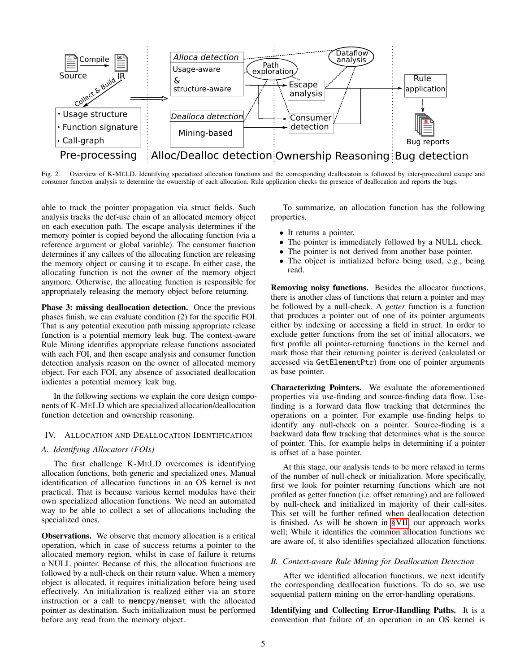

<span id="page-4-0"></span>Fig. 2. Overview of K-MELD. Identifying specialized allocation functions and the corresponding deallocatoin is followed by inter-procedural escape and consumer function analysis to determine the ownership of each allocation. Rule application checks the presence of deallocation and reports the bugs.

able to track the pointer propagation via struct fields. Such analysis tracks the def-use chain of an allocated memory object on each execution path. The escape analysis determines if the memory pointer is copied beyond the allocating function (via a reference argument or global variable). The consumer function determines if any callees of the allocating function are releasing the memory object or causing it to escape. In either case, the allocating function is not the owner of the memory object anymore. Otherwise, the allocating function is responsible for appropriately releasing the memory object before returning.

Phase 3: missing deallocation detection. Once the previous phases finish, we can evaluate condition (2) for the specific FOI. That is any potential execution path missing appropriate release function is a potential memory leak bug. The context-aware Rule Mining identifies appropriate release functions associated with each FOI, and then escape analysis and consumer function detection analysis reason on the owner of allocated memory object. For each FOI, any absence of associated deallocation indicates a potential memory leak bug.

In the following sections we explain the core design components of K-MELD which are specialized allocation/deallocation function detection and ownership reasoning.

## <span id="page-4-2"></span>IV. ALLOCATION AND DEALLOCATION IDENTIFICATION

## *A. Identifying Allocators (FOIs)*

The first challenge K-MELD overcomes is identifying allocation functions, both generic and specialized ones. Manual identification of allocation functions in an OS kernel is not practical. That is because various kernel modules have their own specialized allocation functions. We need an automated way to be able to collect a set of allocations including the specialized ones.

Observations. We observe that memory allocation is a critical operation, which in case of success returns a pointer to the allocated memory region, whilst in case of failure it returns a NULL pointer. Because of this, the allocation functions are followed by a null-check on their return value. When a memory object is allocated, it requires initialization before being used effectively. An initialization is realized either via an store instruction or a call to memcpy/memset with the allocated pointer as destination. Such initialization must be performed before any read from the memory object.

To summarize, an allocation function has the following properties.

- It returns a pointer.
- The pointer is immediately followed by a NULL check.
- The pointer is not derived from another base pointer.
- The object is initialized before being used, e.g., being read.

Removing noisy functions. Besides the allocator functions, there is another class of functions that return a pointer and may be followed by a null-check. A *getter* function is a function that produces a pointer out of one of its pointer arguments either by indexing or accessing a field in struct. In order to exclude getter functions from the set of initial allocators, we first profile all pointer-returning functions in the kernel and mark those that their returning pointer is derived (calculated or accessed via GetElementPtr) from one of pointer arguments as base pointer.

Characterizing Pointers. We evaluate the aforementioned properties via use-finding and source-finding data flow. Usefinding is a forward data flow tracking that determines the operations on a pointer. For example use-finding helps to identify any null-check on a pointer. Source-finding is a backward data flow tracking that determines what is the source of pointer. This, for example helps in determining if a pointer is offset of a base pointer.

At this stage, our analysis tends to be more relaxed in terms of the number of null-check or initialization. More specifically, first we look for pointer returning functions which are not profiled as getter function (i.e. offset returning) and are followed by null-check and initialized in majority of their call-sites. This set will be further refined when deallocation detection is finished. As will be shown in [§VII,](#page-8-0) our approach works well; While it identifies the common allocation functions we are aware of, it also identifies specialized allocation functions.

## <span id="page-4-1"></span>*B. Context-aware Rule Mining for Deallocation Detection*

After we identified allocation functions, we next identify the corresponding deallocation functions. To do so, we use sequential pattern mining on the error-handling operations.

Identifying and Collecting Error-Handling Paths. It is a convention that failure of an operation in an OS kernel is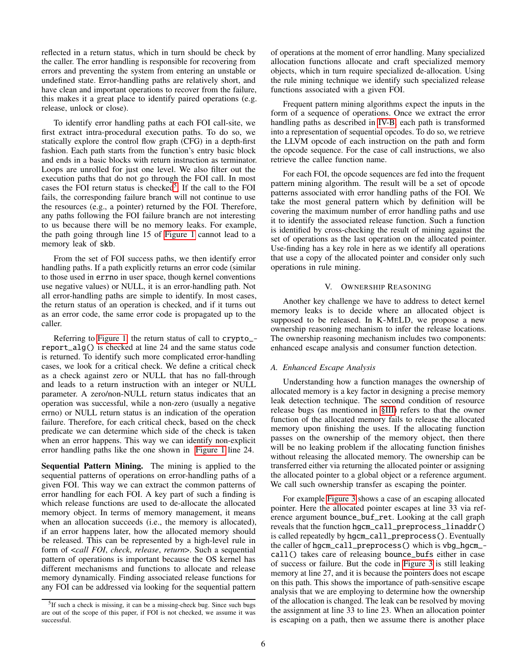reflected in a return status, which in turn should be check by the caller. The error handling is responsible for recovering from errors and preventing the system from entering an unstable or undefined state. Error-handling paths are relatively short, and have clean and important operations to recover from the failure, this makes it a great place to identify paired operations (e.g. release, unlock or close).

To identify error handling paths at each FOI call-site, we first extract intra-procedural execution paths. To do so, we statically explore the control flow graph (CFG) in a depth-first fashion. Each path starts from the function's entry basic block and ends in a basic blocks with return instruction as terminator. Loops are unrolled for just one level. We also filter out the execution paths that do not go through the FOI call. In most cases the FOI return status is checked<sup>[5](#page-5-0)</sup>. If the call to the FOI fails, the corresponding failure branch will not continue to use the resources (e.g., a pointer) returned by the FOI. Therefore, any paths following the FOI failure branch are not interesting to us because there will be no memory leaks. For example, the path going through line 15 of [Figure 1](#page-1-0) cannot lead to a memory leak of skb.

From the set of FOI success paths, we then identify error handling paths. If a path explicitly returns an error code (similar to those used in errno in user space, though kernel conventions use negative values) or NULL, it is an error-handling path. Not all error-handling paths are simple to identify. In most cases, the return status of an operation is checked, and if it turns out as an error code, the same error code is propagated up to the caller.

Referring to [Figure 1,](#page-1-0) the return status of call to crypto\_ report\_alg() is checked at line 24 and the same status code is returned. To identify such more complicated error-handling cases, we look for a critical check. We define a critical check as a check against zero or NULL that has no fall-through and leads to a return instruction with an integer or NULL parameter. A zero/non-NULL return status indicates that an operation was successful, while a non-zero (usually a negative errno) or NULL return status is an indication of the operation failure. Therefore, for each critical check, based on the check predicate we can determine which side of the check is taken when an error happens. This way we can identify non-explicit error handling paths like the one shown in [Figure 1](#page-1-0) line 24.

Sequential Pattern Mining. The mining is applied to the sequential patterns of operations on error-handling paths of a given FOI. This way we can extract the common patterns of error handling for each FOI. A key part of such a finding is which release functions are used to de-allocate the allocated memory object. In terms of memory management, it means when an allocation succeeds (i.e., the memory is allocated), if an error happens later, how the allocated memory should be released. This can be represented by a high-level rule in form of <*call FOI*, *check*, *release*, *return*>. Such a sequential pattern of operations is important because the OS kernel has different mechanisms and functions to allocate and release memory dynamically. Finding associated release functions for any FOI can be addressed via looking for the sequential pattern

of operations at the moment of error handling. Many specialized allocation functions allocate and craft specialized memory objects, which in turn require specialized de-allocation. Using the rule mining technique we identify such specialized release functions associated with a given FOI.

Frequent pattern mining algorithms expect the inputs in the form of a sequence of operations. Once we extract the error handling paths as described in [IV-B,](#page-4-1) each path is transformed into a representation of sequential opcodes. To do so, we retrieve the LLVM opcode of each instruction on the path and form the opcode sequence. For the case of call instructions, we also retrieve the callee function name.

For each FOI, the opcode sequences are fed into the frequent pattern mining algorithm. The result will be a set of opcode patterns associated with error handling paths of the FOI. We take the most general pattern which by definition will be covering the maximum number of error handling paths and use it to identify the associated release function. Such a function is identified by cross-checking the result of mining against the set of operations as the last operation on the allocated pointer. Use-finding has a key role in here as we identify all operations that use a copy of the allocated pointer and consider only such operations in rule mining.

## V. OWNERSHIP REASONING

Another key challenge we have to address to detect kernel memory leaks is to decide where an allocated object is supposed to be released. In K-MELD, we propose a new ownership reasoning mechanism to infer the release locations. The ownership reasoning mechanism includes two components: enhanced escape analysis and consumer function detection.

## *A. Enhanced Escape Analysis*

Understanding how a function manages the ownership of allocated memory is a key factor in designing a precise memory leak detection technique. The second condition of resource release bugs (as mentioned in [§III\)](#page-3-1) refers to that the owner function of the allocated memory fails to release the allocated memory upon finishing the uses. If the allocating function passes on the ownership of the memory object, then there will be no leaking problem if the allocating function finishes without releasing the allocated memory. The ownership can be transferred either via returning the allocated pointer or assigning the allocated pointer to a global object or a reference argument. We call such ownership transfer as escaping the pointer.

For example [Figure 3](#page-6-0) shows a case of an escaping allocated pointer. Here the allocated pointer escapes at line 33 via reference argument bounce\_buf\_ret. Looking at the call graph reveals that the function hgcm\_call\_preprocess\_linaddr() is called repeatedly by hgcm\_call\_preprocess(). Eventually the caller of hgcm\_call\_preprocess() which is vbg\_hgcm\_ call() takes care of releasing bounce\_bufs either in case of success or failure. But the code in [Figure 3](#page-6-0) is still leaking memory at line 27, and it is because the pointers does not escape on this path. This shows the importance of path-sensitive escape analysis that we are employing to determine how the ownership of the allocation is changed. The leak can be resolved by moving the assignment at line 33 to line 23. When an allocation pointer is escaping on a path, then we assume there is another place

<span id="page-5-0"></span><sup>&</sup>lt;sup>5</sup>If such a check is missing, it can be a missing-check bug. Since such bugs are out of the scope of this paper, if FOI is not checked, we assume it was successful.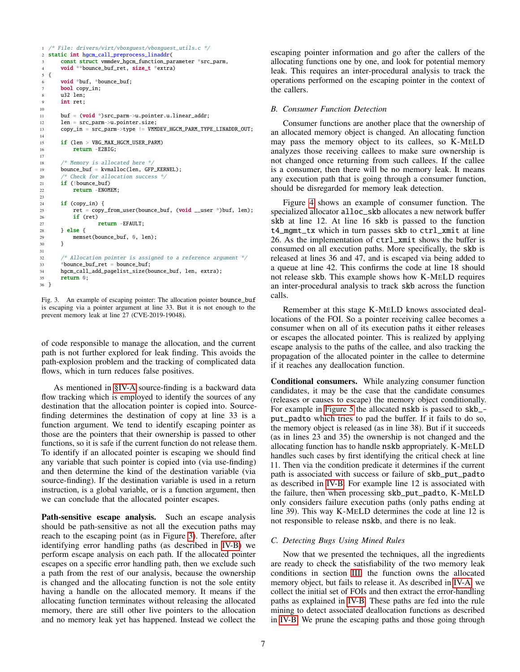```
1 /* File: drivers/virt/vboxguest/vboxguest_utils.c */
2 static int hgcm_call_preprocess_linaddr(
      const struct vmmdev_hgcm_function_parameter *src_parm,
4 void **bounce_buf_ret, size_t *extra)
5 {
6 void *buf, *bounce buf;
7 bool copy_in;
8 u32 len;
9 int ret;
10
11 buf = (void *)src_parm->u.pointer.u.linear_addr;
12 len = src_parm->u.pointer.size;
13 copy_in = src_parm->type != VMMDEV_HGCM_PARM_TYPE_LINADDR_OUT;
14
15 if (len > VBG_MAX_HGCM_USER_PARM)
16 return -E2BIG;
17
18 /* Memory is allocated here */
19 bounce_buf = kvmalloc(len, GFP_KERNEL);
20 /* Check for allocation success */
21 if (!bounce_buf)
22 return -ENOMEM;
23
24 if (copy_in) {
25 ret = copy_from_user(bounce_buf, (void __user *)buf, len);
26 if (ret)
27 return -EFAULT;
28 } else \{29 mems
          memset(bounce_buf, 0, len);
3031
32 \frac{1}{2} /* Allocation pointer is assigned to a reference argument */<br>33 \frac{1}{2} *bounce buf ret = bounce buf:
       *bounce buf ret = bounce buf:
34 hgcm_call_add_pagelist_size(bounce_buf, len, extra);
35 return 0;
36 }
```
<span id="page-6-0"></span>Fig. 3. An example of escaping pointer: The allocation pointer bounce\_buf is escaping via a pointer argument at line 33. But it is not enough to the prevent memory leak at line 27 (CVE-2019-19048).

of code responsible to manage the allocation, and the current path is not further explored for leak finding. This avoids the path-explosion problem and the tracking of complicated data flows, which in turn reduces false positives.

As mentioned in [§IV-A](#page-4-2) source-finding is a backward data flow tracking which is employed to identify the sources of any destination that the allocation pointer is copied into. Sourcefinding determines the destination of copy at line 33 is a function argument. We tend to identify escaping pointer as those are the pointers that their ownership is passed to other functions, so it is safe if the current function do not release them. To identify if an allocated pointer is escaping we should find any variable that such pointer is copied into (via use-finding) and then determine the kind of the destination variable (via source-finding). If the destination variable is used in a return instruction, is a global variable, or is a function argument, then we can conclude that the allocated pointer escapes.

Path-sensitive escape analysis. Such an escape analysis should be path-sensitive as not all the execution paths may reach to the escaping point (as in Figure [3\)](#page-6-0). Therefore, after identifying error handling paths (as described in [IV-B\)](#page-4-1) we perform escape analysis on each path. If the allocated pointer escapes on a specific error handling path, then we exclude such a path from the rest of our analysis, because the ownership is changed and the allocating function is not the sole entity having a handle on the allocated memory. It means if the allocating function terminates without releasing the allocated memory, there are still other live pointers to the allocation and no memory leak yet has happened. Instead we collect the escaping pointer information and go after the callers of the allocating functions one by one, and look for potential memory leak. This requires an inter-procedural analysis to track the operations performed on the escaping pointer in the context of the callers.

## *B. Consumer Function Detection*

Consumer functions are another place that the ownership of an allocated memory object is changed. An allocating function may pass the memory object to its callees, so K-MELD analyzes those receiving callees to make sure ownership is not changed once returning from such callees. If the callee is a consumer, then there will be no memory leak. It means any execution path that is going through a consumer function, should be disregarded for memory leak detection.

Figure [4](#page-7-0) shows an example of consumer function. The specialized allocator alloc\_skb allocates a new network buffer skb at line 12. At line 16 skb is passed to the function t4\_mgmt\_tx which in turn passes skb to ctrl\_xmit at line 26. As the implementation of ctrl\_xmit shows the buffer is consumed on all execution paths. More specifically, the skb is released at lines 36 and 47, and is escaped via being added to a queue at line 42. This confirms the code at line 18 should not release skb. This example shows how K-MELD requires an inter-procedural analysis to track skb across the function calls.

Remember at this stage K-MELD knows associated deallocations of the FOI. So a pointer receiving callee becomes a consumer when on all of its execution paths it either releases or escapes the allocated pointer. This is realized by applying escape analysis to the paths of the callee, and also tracking the propagation of the allocated pointer in the callee to determine if it reaches any deallocation function.

Conditional consumers. While analyzing consumer function candidates, it may be the case that the candidate consumes (releases or causes to escape) the memory object conditionally. For example in [Figure 5](#page-7-1) the allocated nskb is passed to skb\_ put\_padto which tries to pad the buffer. If it fails to do so, the memory object is released (as in line 38). But if it succeeds (as in lines 23 and 35) the ownership is not changed and the allocating function has to handle nskb appropriately. K-MELD handles such cases by first identifying the critical check at line 11. Then via the condition predicate it determines if the current path is associated with success or failure of skb\_put\_padto as described in [IV-B.](#page-4-1) For example line 12 is associated with the failure, then when processing skb\_put\_padto, K-MELD only considers failure execution paths (only paths ending at line 39). This way K-MELD determines the code at line 12 is not responsible to release nskb, and there is no leak.

## *C. Detecting Bugs Using Mined Rules*

Now that we presented the techniques, all the ingredients are ready to check the satisfiability of the two memory leak conditions in section [III:](#page-3-1) the function owns the allocated memory object, but fails to release it. As described in [IV-A,](#page-4-2) we collect the initial set of FOIs and then extract the error-handling paths as explained in [IV-B.](#page-4-1) These paths are fed into the rule mining to detect associated deallocation functions as described in [IV-B.](#page-4-1) We prune the escaping paths and those going through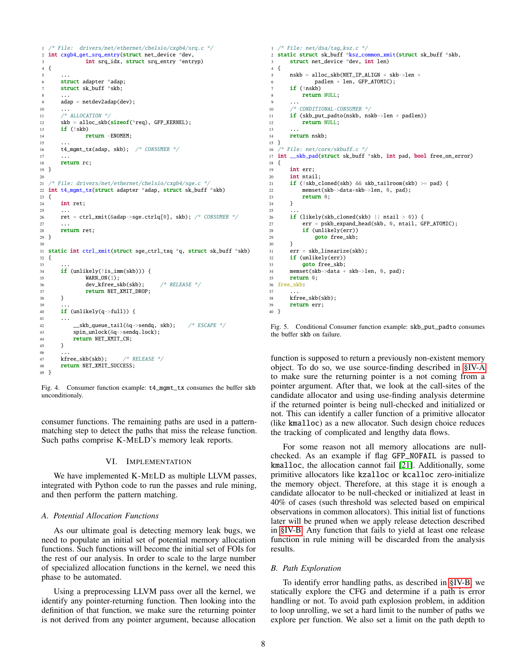```
1 /* File: drivers/net/ethernet/chelsio/cxgb4/srq.c */
2 int cxgb4_get_srq_entry(struct net_device *dev,
             int srq_idx, struct srq_entry *entryp)
4 {
 5 \qquad \ldots6 struct adapter *adap;
7 struct sk_buff *skb;
 8 ...
9 adap = netdev2adap(dev);
10 ...
11 /* ALLOCATION */
12 skb = alloc_skb(sizeof(*req), GFP_KERNEL);<br>13 if (!skb)
      if (!skb)14 return -ENOMEM:
15 ...
16 t4_mgmt_tx(adap, skb); /* CONSUMER */
17
18 return rc;
19 }
20
21 /* File: drivers/net/ethernet/chelsio/cxgb4/sge.c */
22 int t4_mgmt_tx(struct adapter *adap, struct sk_buff *skb)
23 {
24 int ret;
25 ...
26 ret = ctrl_xmit(&adap->sge.ctrlq[0], skb); /* CONSUMER */27 ...
28 return ret;
29 }
30
  static int ctrl_xmit(struct sge_ctrl_txq *q, struct sk_buff *skb)
32 {
33 ...
      34 if (unlikely(!is_imm(skb))) {
35 WARN_ON(1);
36 dev_kfree_skb(skb); /* RELEASE */<br>37 return NET_XMIT_DROP;
      27 return NET_XMIT_DROP;
38 }
39 ...
40 if (unlikely(q->full)) {
4142 __skb_queue_tail(&q->sendq, skb); /* ESCAPE */
43 spin_unlock(&q->sendq.lock);
44 return NET_XMIT_CN;
45 }
46
47 kfree_skb(skb); /* RELEASE */
48 return NET_XMIT_SUCCESS;
49 }
```
<span id="page-7-0"></span>Fig. 4. Consumer function example: t4\_mgmt\_tx consumes the buffer skb unconditionaly.

consumer functions. The remaining paths are used in a patternmatching step to detect the paths that miss the release function. Such paths comprise K-MELD's memory leak reports.

## VI. IMPLEMENTATION

We have implemented K-MELD as multiple LLVM passes, integrated with Python code to run the passes and rule mining, and then perform the pattern matching.

#### *A. Potential Allocation Functions*

As our ultimate goal is detecting memory leak bugs, we need to populate an initial set of potential memory allocation functions. Such functions will become the initial set of FOIs for the rest of our analysis. In order to scale to the large number of specialized allocation functions in the kernel, we need this phase to be automated.

Using a preprocessing LLVM pass over all the kernel, we identify any pointer-returning function. Then looking into the definition of that function, we make sure the returning pointer is not derived from any pointer argument, because allocation

```
1 /* File: net/dsa/tag_ksz.c */
2 static struct sk_buff *ksz_common_xmit(struct sk_buff *skb,
 3 struct net_device *dev, int len)
 4 {
 5 nskb = alloc_skb(NET_IP_ALIGN + skb->len +
 6 padlen + len, GFP_ATOMIC);
 7 if (!nskb)
 8 return NULL;
  9 ...
10 /* CONDITIONAL-CONSUMER */
11 if (skb_put_padto(nskb, nskb->len + padlen))
12 return NULL;
13 ...
14 return nskb;
15 }
16 /* File: net/core/skbuff.c */
17 int __skb_pad(struct sk_buff *skb, int pad, bool free_on_error)
18 {
19 int err;
20 int ntail;
21 if (!skb_cloned(skb) && skb_tailroom(skb) >= pad) {
22 memset(skb->data+skb->len, 0, pad);
23 return 0;
24 }
25 ...
26 if (likely(skb_cloned(skb) || ntail > 0)) {
27 err = pskb_expand_head(skb, 0, ntail, GFP_ATOMIC);
28 if (unlikely(err))<br>29 aoto free skb:
               goto free_skb;
 30 }
       err = skb_linearize(skb);
 \frac{32}{33} if (unlikely(err))<br>\frac{33}{33} aoto free skb:
33 goto free_skb;<br>34 memset(skb->data +
       34 memset(skb->data + skb->len, 0, pad);
35 return 0;
 36 free_skb:
37<br>3838 kfree_skb(skb);<br>39 return err:
       return err;
40 }
```
<span id="page-7-1"></span>Fig. 5. Conditional Consumer function example: skb\_put\_padto consumes the buffer skb on failure.

function is supposed to return a previously non-existent memory object. To do so, we use source-finding described in [§IV-A](#page-4-2) to make sure the returning pointer is a not coming from a pointer argument. After that, we look at the call-sites of the candidate allocator and using use-finding analysis determine if the returned pointer is being null-checked and initialized or not. This can identify a caller function of a primitive allocator (like kmalloc) as a new allocator. Such design choice reduces the tracking of complicated and lengthy data flows.

For some reason not all memory allocations are nullchecked. As an example if flag GFP\_NOFAIL is passed to kmalloc, the allocation cannot fail [\[21\]](#page-13-11). Additionally, some primitive allocators like kzalloc or kcalloc zero-initialize the memory object. Therefore, at this stage it is enough a candidate allocator to be null-checked or initialized at least in 40% of cases (such threshold was selected based on empirical observations in common allocators). This initial list of functions later will be pruned when we apply release detection described in [§IV-B.](#page-4-1) Any function that fails to yield at least one release function in rule mining will be discarded from the analysis results.

#### *B. Path Exploration*

To identify error handling paths, as described in [§IV-B,](#page-4-1) we statically explore the CFG and determine if a path is error handling or not. To avoid path explosion problem, in addition to loop unrolling, we set a hard limit to the number of paths we explore per function. We also set a limit on the path depth to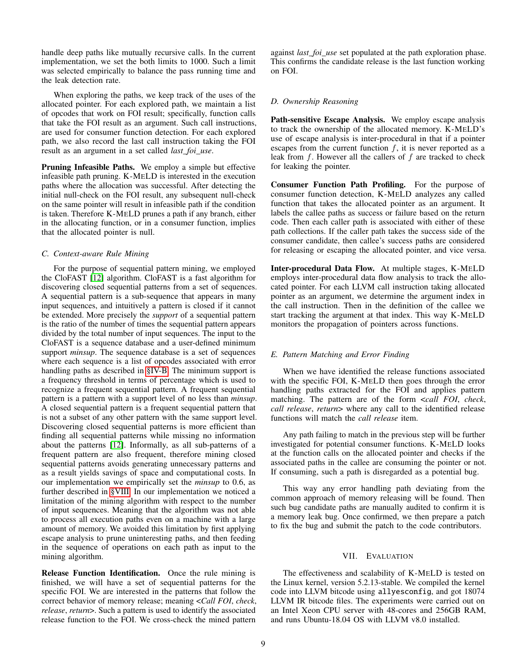handle deep paths like mutually recursive calls. In the current implementation, we set the both limits to 1000. Such a limit was selected empirically to balance the pass running time and the leak detection rate.

When exploring the paths, we keep track of the uses of the allocated pointer. For each explored path, we maintain a list of opcodes that work on FOI result; specifically, function calls that take the FOI result as an argument. Such call instructions, are used for consumer function detection. For each explored path, we also record the last call instruction taking the FOI result as an argument in a set called *last\_foi\_use*.

Pruning Infeasible Paths. We employ a simple but effective infeasible path pruning. K-MELD is interested in the execution paths where the allocation was successful. After detecting the initial null-check on the FOI result, any subsequent null-check on the same pointer will result in infeasible path if the condition is taken. Therefore K-MELD prunes a path if any branch, either in the allocating function, or in a consumer function, implies that the allocated pointer is null.

## *C. Context-aware Rule Mining*

For the purpose of sequential pattern mining, we employed the CloFAST [\[12\]](#page-13-12) algorithm. CloFAST is a fast algorithm for discovering closed sequential patterns from a set of sequences. A sequential pattern is a sub-sequence that appears in many input sequences, and intuitively a pattern is closed if it cannot be extended. More precisely the *support* of a sequential pattern is the ratio of the number of times the sequential pattern appears divided by the total number of input sequences. The input to the CloFAST is a sequence database and a user-defined minimum support *minsup*. The sequence database is a set of sequences where each sequence is a list of opcodes associated with error handling paths as described in [§IV-B.](#page-4-1) The minimum support is a frequency threshold in terms of percentage which is used to recognize a frequent sequential pattern. A frequent sequential pattern is a pattern with a support level of no less than *minsup*. A closed sequential pattern is a frequent sequential pattern that is not a subset of any other pattern with the same support level. Discovering closed sequential patterns is more efficient than finding all sequential patterns while missing no information about the patterns [\[12\]](#page-13-12). Informally, as all sub-patterns of a frequent pattern are also frequent, therefore mining closed sequential patterns avoids generating unnecessary patterns and as a result yields savings of space and computational costs. In our implementation we empirically set the *minsup* to 0.6, as further described in [§VIII.](#page-11-0) In our implementation we noticed a limitation of the mining algorithm with respect to the number of input sequences. Meaning that the algorithm was not able to process all execution paths even on a machine with a large amount of memory. We avoided this limitation by first applying escape analysis to prune uninteresting paths, and then feeding in the sequence of operations on each path as input to the mining algorithm.

Release Function Identification. Once the rule mining is finished, we will have a set of sequential patterns for the specific FOI. We are interested in the patterns that follow the correct behavior of memory release; meaning <*Call FOI*, *check*, *release*, *return*>. Such a pattern is used to identify the associated release function to the FOI. We cross-check the mined pattern

against *last\_foi\_use* set populated at the path exploration phase. This confirms the candidate release is the last function working on FOI.

# *D. Ownership Reasoning*

Path-sensitive Escape Analysis. We employ escape analysis to track the ownership of the allocated memory. K-MELD's use of escape analysis is inter-procedural in that if a pointer escapes from the current function  $f$ , it is never reported as a leak from  $f$ . However all the callers of  $f$  are tracked to check for leaking the pointer.

Consumer Function Path Profiling. For the purpose of consumer function detection, K-MELD analyzes any called function that takes the allocated pointer as an argument. It labels the callee paths as success or failure based on the return code. Then each caller path is associated with either of these path collections. If the caller path takes the success side of the consumer candidate, then callee's success paths are considered for releasing or escaping the allocated pointer, and vice versa.

Inter-procedural Data Flow. At multiple stages, K-MELD employs inter-procedural data flow analysis to track the allocated pointer. For each LLVM call instruction taking allocated pointer as an argument, we determine the argument index in the call instruction. Then in the definition of the callee we start tracking the argument at that index. This way K-MELD monitors the propagation of pointers across functions.

# *E. Pattern Matching and Error Finding*

When we have identified the release functions associated with the specific FOI, K-MELD then goes through the error handling paths extracted for the FOI and applies pattern matching. The pattern are of the form <*call FOI*, *check*, *call release*, *return*> where any call to the identified release functions will match the *call release* item.

Any path failing to match in the previous step will be further investigated for potential consumer functions. K-MELD looks at the function calls on the allocated pointer and checks if the associated paths in the callee are consuming the pointer or not. If consuming, such a path is disregarded as a potential bug.

This way any error handling path deviating from the common approach of memory releasing will be found. Then such bug candidate paths are manually audited to confirm it is a memory leak bug. Once confirmed, we then prepare a patch to fix the bug and submit the patch to the code contributors.

## VII. EVALUATION

<span id="page-8-0"></span>The effectiveness and scalability of K-MELD is tested on the Linux kernel, version 5.2.13-stable. We compiled the kernel code into LLVM bitcode using allyesconfig, and got 18074 LLVM IR bitcode files. The experiments were carried out on an Intel Xeon CPU server with 48-cores and 256GB RAM, and runs Ubuntu-18.04 OS with LLVM v8.0 installed.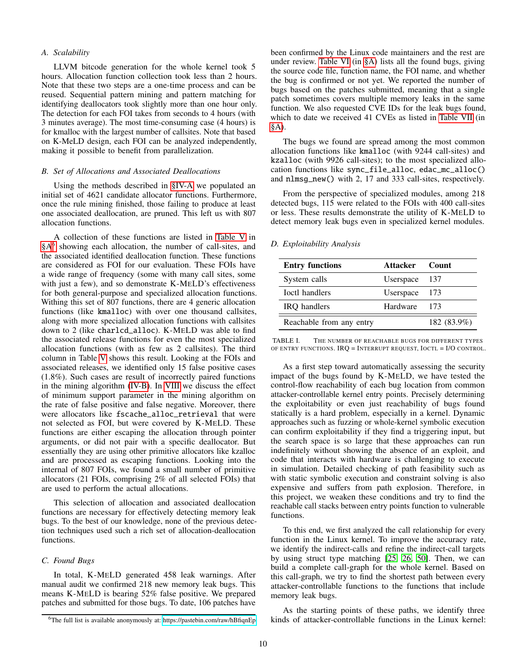## *A. Scalability*

LLVM bitcode generation for the whole kernel took 5 hours. Allocation function collection took less than 2 hours. Note that these two steps are a one-time process and can be reused. Sequential pattern mining and pattern matching for identifying deallocators took slightly more than one hour only. The detection for each FOI takes from seconds to 4 hours (with 3 minutes average). The most time-consuming case (4 hours) is for kmalloc with the largest number of callsites. Note that based on K-MeLD design, each FOI can be analyzed independently, making it possible to benefit from parallelization.

## *B. Set of Allocations and Associated Deallocations*

Using the methods described in [§IV-A](#page-4-2) we populated an initial set of 4621 candidate allocator functions. Furthermore, once the rule mining finished, those failing to produce at least one associated deallocation, are pruned. This left us with 807 allocation functions.

A collection of these functions are listed in [Table V](#page-15-0) in [§A](#page-14-8)<sup>[6](#page-9-0)</sup> showing each allocation, the number of call-sites, and the associated identified deallocation function. These functions are considered as FOI for our evaluation. These FOIs have a wide range of frequency (some with many call sites, some with just a few), and so demonstrate K-MELD's effectiveness for both general-purpose and specialized allocation functions. Withing this set of 807 functions, there are 4 generic allocation functions (like kmalloc) with over one thousand callsites, along with more specialized allocation functions with callsites down to 2 (like charlcd\_alloc). K-MELD was able to find the associated release functions for even the most specialized allocation functions (with as few as 2 callsites). The third column in Table [V](#page-15-0) shows this result. Looking at the FOIs and associated releases, we identified only 15 false positive cases (1.8%). Such cases are result of incorrectly paired functions in the mining algorithm [\(IV-B\)](#page-4-1). In [VIII](#page-11-0) we discuss the effect of minimum support parameter in the mining algorithm on the rate of false positive and false negative. Moreover, there were allocators like fscache\_alloc\_retrieval that were not selected as FOI, but were covered by K-MELD. These functions are either escaping the allocation through pointer arguments, or did not pair with a specific deallocator. But essentially they are using other primitive allocators like kzalloc and are processed as escaping functions. Looking into the internal of 807 FOIs, we found a small number of primitive allocators (21 FOIs, comprising 2% of all selected FOIs) that are used to perform the actual allocations.

This selection of allocation and associated deallocation functions are necessary for effectively detecting memory leak bugs. To the best of our knowledge, none of the previous detection techniques used such a rich set of allocation-deallocation functions.

# *C. Found Bugs*

In total, K-MELD generated 458 leak warnings. After manual audit we confirmed 218 new memory leak bugs. This means K-MELD is bearing 52% false positive. We prepared patches and submitted for those bugs. To date, 106 patches have been confirmed by the Linux code maintainers and the rest are under review. [Table VI](#page-18-0) (in [§A\)](#page-14-8) lists all the found bugs, giving the source code file, function name, the FOI name, and whether the bug is confirmed or not yet. We reported the number of bugs based on the patches submitted, meaning that a single patch sometimes covers multiple memory leaks in the same function. We also requested CVE IDs for the leak bugs found, which to date we received 41 CVEs as listed in [Table VII](#page-23-0) (in [§A\)](#page-14-8).

The bugs we found are spread among the most common allocation functions like kmalloc (with 9244 call-sites) and kzalloc (with 9926 call-sites); to the most specialized allocation functions like sync\_file\_alloc, edac\_mc\_alloc() and nlmsg\_new() with 2, 17 and 333 call-sites, respectively.

From the perspective of specialized modules, among 218 detected bugs, 115 were related to the FOIs with 400 call-sites or less. These results demonstrate the utility of K-MELD to detect memory leak bugs even in specialized kernel modules.

#### *D. Exploitability Analysis*

| <b>Entry functions</b>   | Attacker  | <b>Count</b> |
|--------------------------|-----------|--------------|
| System calls             | Userspace | -137         |
| <b>Ioctl handlers</b>    | Userspace | - 173        |
| <b>IRO</b> handlers      | Hardware  | 173          |
| Reachable from any entry |           | 182 (83.9%)  |

<span id="page-9-1"></span>TABLE I. THE NUMBER OF REACHABLE BUGS FOR DIFFERENT TYPES OF ENTRY FUNCTIONS. IRQ = INTERRUPT REQUEST, IOCTL = I/O CONTROL.

As a first step toward automatically assessing the security impact of the bugs found by K-MELD, we have tested the control-flow reachability of each bug location from common attacker-controllable kernel entry points. Precisely determining the exploitability or even just reachability of bugs found statically is a hard problem, especially in a kernel. Dynamic approaches such as fuzzing or whole-kernel symbolic execution can confirm exploitability if they find a triggering input, but the search space is so large that these approaches can run indefinitely without showing the absence of an exploit, and code that interacts with hardware is challenging to execute in simulation. Detailed checking of path feasibility such as with static symbolic execution and constraint solving is also expensive and suffers from path explosion. Therefore, in this project, we weaken these conditions and try to find the reachable call stacks between entry points function to vulnerable functions.

To this end, we first analyzed the call relationship for every function in the Linux kernel. To improve the accuracy rate, we identify the indirect-calls and refine the indirect-call targets by using struct type matching [\[25,](#page-13-13) [26,](#page-13-14) [50\]](#page-14-9). Then, we can build a complete call-graph for the whole kernel. Based on this call-graph, we try to find the shortest path between every attacker-controllable functions to the functions that include memory leak bugs.

As the starting points of these paths, we identify three kinds of attacker-controllable functions in the Linux kernel:

<span id="page-9-0"></span><sup>&</sup>lt;sup>6</sup>The full list is available anonymously at:<https://pastebin.com/raw/hBfiqnEp>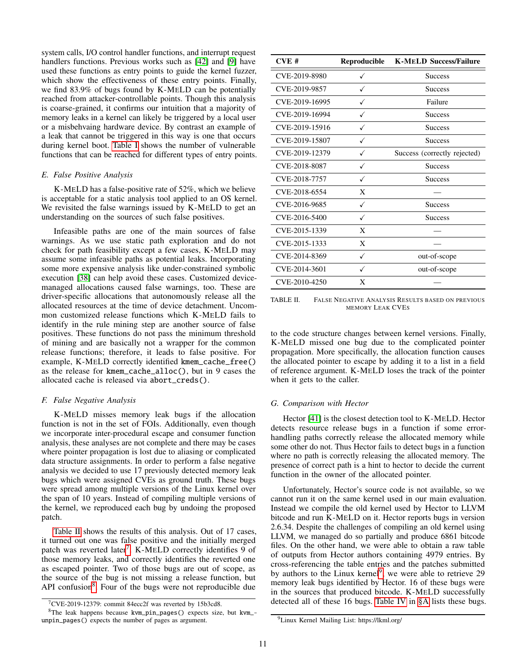system calls, I/O control handler functions, and interrupt request handlers functions. Previous works such as [\[42\]](#page-14-10) and [\[9\]](#page-13-15) have used these functions as entry points to guide the kernel fuzzer, which show the effectiveness of these entry points. Finally, we find 83.9% of bugs found by K-MELD can be potentially reached from attacker-controllable points. Though this analysis is coarse-grained, it confirms our intuition that a majority of memory leaks in a kernel can likely be triggered by a local user or a misbehvaing hardware device. By contrast an example of a leak that cannot be triggered in this way is one that occurs during kernel boot. [Table I](#page-9-1) shows the number of vulnerable functions that can be reached for different types of entry points.

#### *E. False Positive Analysis*

K-MELD has a false-positive rate of 52%, which we believe is acceptable for a static analysis tool applied to an OS kernel. We revisited the false warnings issued by K-MELD to get an understanding on the sources of such false positives.

Infeasible paths are one of the main sources of false warnings. As we use static path exploration and do not check for path feasibility except a few cases, K-MELD may assume some infeasible paths as potential leaks. Incorporating some more expensive analysis like under-constrained symbolic execution [\[38\]](#page-14-11) can help avoid these cases. Customized devicemanaged allocations caused false warnings, too. These are driver-specific allocations that autonomously release all the allocated resources at the time of device detachment. Uncommon customized release functions which K-MELD fails to identify in the rule mining step are another source of false positives. These functions do not pass the minimum threshold of mining and are basically not a wrapper for the common release functions; therefore, it leads to false positive. For example, K-MELD correctly identified kmem\_cache\_free() as the release for kmem\_cache\_alloc(), but in 9 cases the allocated cache is released via abort\_creds().

## *F. False Negative Analysis*

K-MELD misses memory leak bugs if the allocation function is not in the set of FOIs. Additionally, even though we incorporate inter-procedural escape and consumer function analysis, these analyses are not complete and there may be cases where pointer propagation is lost due to aliasing or complicated data structure assignments. In order to perform a false negative analysis we decided to use 17 previously detected memory leak bugs which were assigned CVEs as ground truth. These bugs were spread among multiple versions of the Linux kernel over the span of 10 years. Instead of compiling multiple versions of the kernel, we reproduced each bug by undoing the proposed patch.

[Table II](#page-10-0) shows the results of this analysis. Out of 17 cases, it turned out one was false positive and the initially merged patch was reverted later<sup>[7](#page-10-1)</sup>. K-MELD correctly identifies 9 of those memory leaks, and correctly identifies the reverted one as escaped pointer. Two of those bugs are out of scope, as the source of the bug is not missing a release function, but API confusion<sup>[8](#page-10-2)</sup>. Four of the bugs were not reproducible due

| CVE#           | Reproducible | <b>K-MELD Success/Failure</b> |
|----------------|--------------|-------------------------------|
| CVE-2019-8980  |              | <b>Success</b>                |
| CVE-2019-9857  | ✓            | <b>Success</b>                |
| CVE-2019-16995 |              | Failure                       |
| CVE-2019-16994 |              | <b>Success</b>                |
| CVE-2019-15916 |              | <b>Success</b>                |
| CVE-2019-15807 |              | <b>Success</b>                |
| CVE-2019-12379 |              | Success (correctly rejected)  |
| CVE-2018-8087  |              | <b>Success</b>                |
| CVE-2018-7757  | ✓            | <b>Success</b>                |
| CVE-2018-6554  | X            |                               |
| CVE-2016-9685  | ✓            | <b>Success</b>                |
| CVE-2016-5400  | ✓            | <b>Success</b>                |
| CVE-2015-1339  | X            |                               |
| CVE-2015-1333  | X            |                               |
| CVE-2014-8369  | ✓            | out-of-scope                  |
| CVE-2014-3601  | ✓            | out-of-scope                  |
| CVE-2010-4250  | X            |                               |

<span id="page-10-0"></span>TABLE II. FALSE NEGATIVE ANALYSIS RESULTS BASED ON PREVIOUS MEMORY LEAK CVES

to the code structure changes between kernel versions. Finally, K-MELD missed one bug due to the complicated pointer propagation. More specifically, the allocation function causes the allocated pointer to escape by adding it to a list in a field of reference argument. K-MELD loses the track of the pointer when it gets to the caller.

#### *G. Comparison with Hector*

Hector [\[41\]](#page-14-4) is the closest detection tool to K-MELD. Hector detects resource release bugs in a function if some errorhandling paths correctly release the allocated memory while some other do not. Thus Hector fails to detect bugs in a function where no path is correctly releasing the allocated memory. The presence of correct path is a hint to hector to decide the current function in the owner of the allocated pointer.

Unfortunately, Hector's source code is not available, so we cannot run it on the same kernel used in our main evaluation. Instead we compile the old kernel used by Hector to LLVM bitcode and run K-MELD on it. Hector reports bugs in version 2.6.34. Despite the challenges of compiling an old kernel using LLVM, we managed do so partially and produce 6861 bitcode files. On the other hand, we were able to obtain a raw table of outputs from Hector authors containing 4979 entries. By cross-referencing the table entries and the patches submitted by authors to the Linux kernel<sup>[9](#page-10-3)</sup>, we were able to retrieve 29 memory leak bugs identified by Hector. 16 of these bugs were in the sources that produced bitcode. K-MELD successfully detected all of these 16 bugs. [Table IV](#page-14-12) in [§A](#page-14-8) lists these bugs.

<span id="page-10-2"></span><span id="page-10-1"></span> $7$ CVE-2019-12379: commit 84ecc2f was reverted by 15b3cd8.

<sup>8</sup>The leak happens because kvm\_pin\_pages() expects size, but kvm\_ unpin\_pages() expects the number of pages as argument.

<span id="page-10-3"></span><sup>9</sup>Linux Kernel Mailing List: https://lkml.org/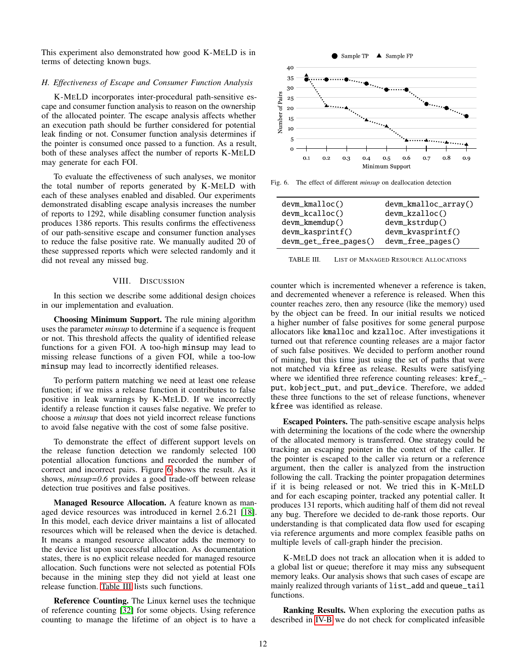This experiment also demonstrated how good K-MELD is in terms of detecting known bugs.

#### *H. Effectiveness of Escape and Consumer Function Analysis*

K-MELD incorporates inter-procedural path-sensitive escape and consumer function analysis to reason on the ownership of the allocated pointer. The escape analysis affects whether an execution path should be further considered for potential leak finding or not. Consumer function analysis determines if the pointer is consumed once passed to a function. As a result, both of these analyses affect the number of reports K-MELD may generate for each FOI.

To evaluate the effectiveness of such analyses, we monitor the total number of reports generated by K-MELD with each of these analyses enabled and disabled. Our experiments demonstrated disabling escape analysis increases the number of reports to 1292, while disabling consumer function analysis produces 1386 reports. This results confirms the effectiveness of our path-sensitive escape and consumer function analyses to reduce the false positive rate. We manually audited 20 of these suppressed reports which were selected randomly and it did not reveal any missed bug.

## VIII. DISCUSSION

<span id="page-11-0"></span>In this section we describe some additional design choices in our implementation and evaluation.

Choosing Minimum Support. The rule mining algorithm uses the parameter *minsup* to determine if a sequence is frequent or not. This threshold affects the quality of identified release functions for a given FOI. A too-high minsup may lead to missing release functions of a given FOI, while a too-low minsup may lead to incorrectly identified releases.

To perform pattern matching we need at least one release function; if we miss a release function it contributes to false positive in leak warnings by K-MELD. If we incorrectly identify a release function it causes false negative. We prefer to choose a *minsup* that does not yield incorrect release functions to avoid false negative with the cost of some false positive.

To demonstrate the effect of different support levels on the release function detection we randomly selected 100 potential allocation functions and recorded the number of correct and incorrect pairs. Figure [6](#page-11-1) shows the result. As it shows, *minsup=0.6* provides a good trade-off between release detection true positives and false positives.

Managed Resource Allocation. A feature known as managed device resources was introduced in kernel 2.6.21 [\[18\]](#page-13-16). In this model, each device driver maintains a list of allocated resources which will be released when the device is detached. It means a manged resource allocator adds the memory to the device list upon successful allocation. As documentation states, there is no explicit release needed for managed resource allocation. Such functions were not selected as potential FOIs because in the mining step they did not yield at least one release function. [Table III](#page-11-2) lists such functions.

Reference Counting. The Linux kernel uses the technique of reference counting [\[32\]](#page-14-13) for some objects. Using reference counting to manage the lifetime of an object is to have a



<span id="page-11-1"></span>Fig. 6. The effect of different *minsup* on deallocation detection

| $d$ evm_kmalloc $()$   | devm_kmalloc_array()    |
|------------------------|-------------------------|
| $devm_kcalloc()$       | $d$ evm_kzalloc $()$    |
| devm_kmemdup()         | devm_kstrdup()          |
| $d$ evm_kasprint $f()$ | $d$ evm_kvasprint $f()$ |
| devm_get_free_pages()  | devm_free_pages()       |

<span id="page-11-2"></span>TABLE III. LIST OF MANAGED RESOURCE ALLOCATIONS

counter which is incremented whenever a reference is taken, and decremented whenever a reference is released. When this counter reaches zero, then any resource (like the memory) used by the object can be freed. In our initial results we noticed a higher number of false positives for some general purpose allocators like kmalloc and kzalloc. After investigations it turned out that reference counting releases are a major factor of such false positives. We decided to perform another round of mining, but this time just using the set of paths that were not matched via kfree as release. Results were satisfying where we identified three reference counting releases: kref\_ put, kobject\_put, and put\_device. Therefore, we added these three functions to the set of release functions, whenever kfree was identified as release.

Escaped Pointers. The path-sensitive escape analysis helps with determining the locations of the code where the ownership of the allocated memory is transferred. One strategy could be tracking an escaping pointer in the context of the caller. If the pointer is escaped to the caller via return or a reference argument, then the caller is analyzed from the instruction following the call. Tracking the pointer propagation determines if it is being released or not. We tried this in K-MELD and for each escaping pointer, tracked any potential caller. It produces 131 reports, which auditing half of them did not reveal any bug. Therefore we decided to de-rank those reports. Our understanding is that complicated data flow used for escaping via reference arguments and more complex feasible paths on multiple levels of call-graph hinder the precision.

K-MELD does not track an allocation when it is added to a global list or queue; therefore it may miss any subsequent memory leaks. Our analysis shows that such cases of escape are mainly realized through variants of list\_add and queue\_tail functions.

Ranking Results. When exploring the execution paths as described in [IV-B](#page-4-1) we do not check for complicated infeasible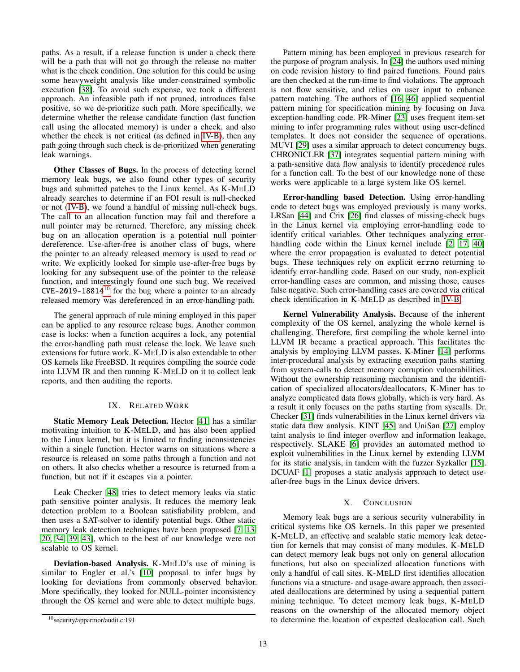paths. As a result, if a release function is under a check there will be a path that will not go through the release no matter what is the check condition. One solution for this could be using some heavyweight analysis like under-constrained symbolic execution [\[38\]](#page-14-11). To avoid such expense, we took a different approach. An infeasible path if not pruned, introduces false positive, so we de-prioritize such path. More specifically, we determine whether the release candidate function (last function call using the allocated memory) is under a check, and also whether the check is not critical (as defined in [IV-B\)](#page-4-1), then any path going through such check is de-prioritized when generating leak warnings.

Other Classes of Bugs. In the process of detecting kernel memory leak bugs, we also found other types of security bugs and submitted patches to the Linux kernel. As K-MELD already searches to determine if an FOI result is null-checked or not [\(IV-B\)](#page-4-1), we found a handful of missing null-check bugs. The call to an allocation function may fail and therefore a null pointer may be returned. Therefore, any missing check bug on an allocation operation is a potential null pointer dereference. Use-after-free is another class of bugs, where the pointer to an already released memory is used to read or write. We explicitly looked for simple use-after-free bugs by looking for any subsequent use of the pointer to the release function, and interestingly found one such bug. We received  $CVE-2019-18814^{10}$  $CVE-2019-18814^{10}$  $CVE-2019-18814^{10}$  for the bug where a pointer to an already released memory was dereferenced in an error-handling path.

The general approach of rule mining employed in this paper can be applied to any resource release bugs. Another common case is locks: when a function acquires a lock, any potential the error-handling path must release the lock. We leave such extensions for future work. K-MELD is also extendable to other OS kernels like FreeBSD. It requires compiling the source code into LLVM IR and then running K-MELD on it to collect leak reports, and then auditing the reports.

# IX. RELATED WORK

Static Memory Leak Detection. Hector [\[41\]](#page-14-4) has a similar motivating intuition to K-MELD, and has also been applied to the Linux kernel, but it is limited to finding inconsistencies within a single function. Hector warns on situations where a resource is released on some paths through a function and not on others. It also checks whether a resource is returned from a function, but not if it escapes via a pointer.

Leak Checker [\[48\]](#page-14-6) tries to detect memory leaks via static path sensitive pointer analysis. It reduces the memory leak detection problem to a Boolean satisfiability problem, and then uses a SAT-solver to identify potential bugs. Other static memory leak detection techniques have been proposed [\[7,](#page-13-17) [13,](#page-13-18) [20,](#page-13-19) [34,](#page-14-14) [39,](#page-14-15) [43\]](#page-14-16), which to the best of our knowledge were not scalable to OS kernel.

Deviation-based Analysis. K-MELD's use of mining is similar to Engler et al.'s [\[10\]](#page-13-7) proposal to infer bugs by looking for deviations from commonly observed behavior. More specifically, they looked for NULL-pointer inconsistency through the OS kernel and were able to detect multiple bugs.

Pattern mining has been employed in previous research for the purpose of program analysis. In [\[24\]](#page-13-20) the authors used mining on code revision history to find paired functions. Found pairs are then checked at the run-time to find violations. The approach is not flow sensitive, and relies on user input to enhance pattern matching. The authors of [\[16,](#page-13-21) [46\]](#page-14-17) applied sequential pattern mining for specification mining by focusing on Java exception-handling code. PR-Miner [\[23\]](#page-13-22) uses frequent item-set mining to infer programming rules without using user-defined templates. It does not consider the sequence of operations. MUVI [\[29\]](#page-13-23) uses a similar approach to detect concurrency bugs. CHRONICLER [\[37\]](#page-14-18) integrates sequential pattern mining with a path-sensitive data flow analysis to identify precedence rules for a function call. To the best of our knowledge none of these works were applicable to a large system like OS kernel.

Error-handling based Detection. Using error-handling code to detect bugs was employed previously is many works. LRSan [\[44\]](#page-14-19) and Crix [\[26\]](#page-13-14) find classes of missing-check bugs in the Linux kernel via employing error-handling code to identify critical variables. Other techniques analyzing error-handling code within the Linux kernel include [\[2,](#page-13-8) [17,](#page-13-24) [40\]](#page-14-20) where the error propagation is evaluated to detect potential bugs. These techniques rely on explicit errno returning to identify error-handling code. Based on our study, non-explicit error-handling cases are common, and missing those, causes false negative. Such error-handling cases are covered via critical check identification in K-MELD as described in [IV-B.](#page-4-1)

Kernel Vulnerability Analysis. Because of the inherent complexity of the OS kernel, analyzing the whole kernel is challenging. Therefore, first compiling the whole kernel into LLVM IR became a practical approach. This facilitates the analysis by employing LLVM passes. K-Miner [\[14\]](#page-13-0) performs inter-procedural analysis by extracting execution paths starting from system-calls to detect memory corruption vulnerabilities. Without the ownership reasoning mechanism and the identification of specialized allocators/deallocators, K-Miner has to analyze complicated data flows globally, which is very hard. As a result it only focuses on the paths starting from syscalls. Dr. Checker [\[31\]](#page-14-21) finds vulnerabilities in the Linux kernel drivers via static data flow analysis. KINT [\[45\]](#page-14-22) and UniSan [\[27\]](#page-13-25) employ taint analysis to find integer overflow and information leakage, respectively. SLAKE [\[6\]](#page-13-26) provides an automated method to exploit vulnerabilities in the Linux kernel by extending LLVM for its static analysis, in tandem with the fuzzer Syzkaller [\[15\]](#page-13-27). DCUAF [\[1\]](#page-13-28) proposes a static analysis approach to detect useafter-free bugs in the Linux device drivers.

## X. CONCLUSION

Memory leak bugs are a serious security vulnerability in critical systems like OS kernels. In this paper we presented K-MELD, an effective and scalable static memory leak detection for kernels that may consist of many modules. K-MELD can detect memory leak bugs not only on general allocation functions, but also on specialized allocation functions with only a handful of call sites. K-MELD first identifies allocation functions via a structure- and usage-aware approach, then associated deallocations are determined by using a sequential pattern mining technique. To detect memory leak bugs, K-MELD reasons on the ownership of the allocated memory object to determine the location of expected dealocation call. Such

<span id="page-12-0"></span><sup>10</sup>security/apparmor/audit.c:191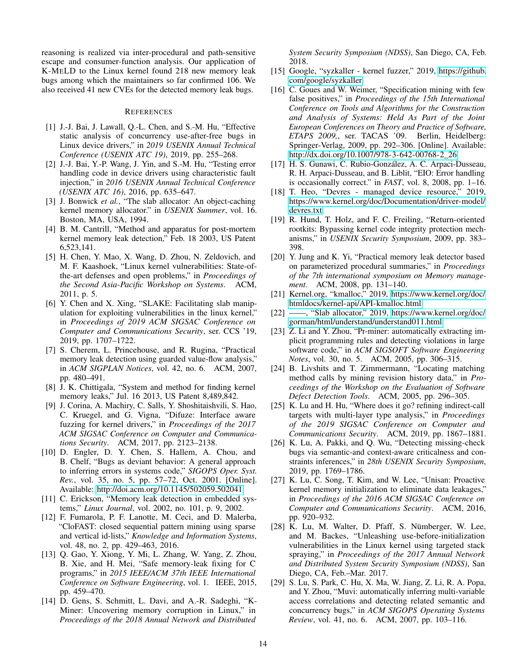reasoning is realized via inter-procedural and path-sensitive escape and consumer-function analysis. Our application of K-MELD to the Linux kernel found 218 new memory leak bugs among which the maintainers so far confirmed 106. We also received 41 new CVEs for the detected memory leak bugs.

## **REFERENCES**

- <span id="page-13-28"></span>[1] J.-J. Bai, J. Lawall, Q.-L. Chen, and S.-M. Hu, "Effective static analysis of concurrency use-after-free bugs in Linux device drivers," in *2019 USENIX Annual Technical Conference (USENIX ATC 19)*, 2019, pp. 255–268.
- <span id="page-13-8"></span>[2] J.-J. Bai, Y.-P. Wang, J. Yin, and S.-M. Hu, "Testing error handling code in device drivers using characteristic fault injection," in *2016 USENIX Annual Technical Conference (USENIX ATC 16)*, 2016, pp. 635–647.
- <span id="page-13-9"></span>[3] J. Bonwick *et al.*, "The slab allocator: An object-caching kernel memory allocator." in *USENIX Summer*, vol. 16. Boston, MA, USA, 1994.
- <span id="page-13-5"></span>[4] B. M. Cantrill, "Method and apparatus for post-mortem kernel memory leak detection," Feb. 18 2003, US Patent 6,523,141.
- <span id="page-13-3"></span>[5] H. Chen, Y. Mao, X. Wang, D. Zhou, N. Zeldovich, and M. F. Kaashoek, "Linux kernel vulnerabilities: State-ofthe-art defenses and open problems," in *Proceedings of the Second Asia-Pacific Workshop on Systems*. ACM, 2011, p. 5.
- <span id="page-13-26"></span>[6] Y. Chen and X. Xing, "SLAKE: Facilitating slab manipulation for exploiting vulnerabilities in the linux kernel," in *Proceedings of 2019 ACM SIGSAC Conference on Computer and Communications Security*, ser. CCS '19, 2019, pp. 1707–1722.
- <span id="page-13-17"></span>[7] S. Cherem, L. Princehouse, and R. Rugina, "Practical memory leak detection using guarded value-flow analysis," in *ACM SIGPLAN Notices*, vol. 42, no. 6. ACM, 2007, pp. 480–491.
- <span id="page-13-6"></span>[8] J. K. Chittigala, "System and method for finding kernel memory leaks," Jul. 16 2013, US Patent 8,489,842.
- <span id="page-13-15"></span>[9] J. Corina, A. Machiry, C. Salls, Y. Shoshitaishvili, S. Hao, C. Kruegel, and G. Vigna, "Difuze: Interface aware fuzzing for kernel drivers," in *Proceedings of the 2017 ACM SIGSAC Conference on Computer and Communications Security*. ACM, 2017, pp. 2123–2138.
- <span id="page-13-7"></span>[10] D. Engler, D. Y. Chen, S. Hallem, A. Chou, and B. Chelf, "Bugs as deviant behavior: A general approach to inferring errors in systems code," *SIGOPS Oper. Syst. Rev.*, vol. 35, no. 5, pp. 57–72, Oct. 2001. [Online]. Available:<http://doi.acm.org/10.1145/502059.502041>
- <span id="page-13-4"></span>[11] C. Erickson, "Memory leak detection in embedded systems," *Linux Journal*, vol. 2002, no. 101, p. 9, 2002.
- <span id="page-13-12"></span>[12] F. Fumarola, P. F. Lanotte, M. Ceci, and D. Malerba, "CloFAST: closed sequential pattern mining using sparse and vertical id-lists," *Knowledge and Information Systems*, vol. 48, no. 2, pp. 429–463, 2016.
- <span id="page-13-18"></span>[13] Q. Gao, Y. Xiong, Y. Mi, L. Zhang, W. Yang, Z. Zhou, B. Xie, and H. Mei, "Safe memory-leak fixing for C programs," in *2015 IEEE/ACM 37th IEEE International Conference on Software Engineering*, vol. 1. IEEE, 2015, pp. 459–470.
- <span id="page-13-0"></span>[14] D. Gens, S. Schmitt, L. Davi, and A.-R. Sadeghi, "K-Miner: Uncovering memory corruption in Linux," in *Proceedings of the 2018 Annual Network and Distributed*

*System Security Symposium (NDSS)*, San Diego, CA, Feb. 2018.

- <span id="page-13-27"></span>[15] Google, "syzkaller - kernel fuzzer," 2019, [https://github.](https://github.com/google/ syzkaller) [com/google/syzkaller.](https://github.com/google/ syzkaller)
- <span id="page-13-21"></span>[16] C. Goues and W. Weimer, "Specification mining with few false positives," in *Proceedings of the 15th International Conference on Tools and Algorithms for the Construction and Analysis of Systems: Held As Part of the Joint European Conferences on Theory and Practice of Software, ETAPS 2009,*, ser. TACAS '09. Berlin, Heidelberg: Springer-Verlag, 2009, pp. 292–306. [Online]. Available: [http://dx.doi.org/10.1007/978-3-642-00768-2\\_26](http://dx.doi.org/10.1007/978-3-642-00768-2_26)
- <span id="page-13-24"></span>[17] H. S. Gunawi, C. Rubio-González, A. C. Arpaci-Dusseau, R. H. Arpaci-Dusseau, and B. Liblit, "EIO: Error handling is occasionally correct." in *FAST*, vol. 8, 2008, pp. 1–16.
- <span id="page-13-16"></span>[18] T. Heo, "Devres - managed device resource," 2019, [https://www.kernel.org/doc/Documentation/driver-model/](https://www.kernel.org/doc/Documentation/driver-model/devres.txt) [devres.txt.](https://www.kernel.org/doc/Documentation/driver-model/devres.txt)
- <span id="page-13-1"></span>[19] R. Hund, T. Holz, and F. C. Freiling, "Return-oriented rootkits: Bypassing kernel code integrity protection mechanisms," in *USENIX Security Symposium*, 2009, pp. 383– 398.
- <span id="page-13-19"></span>[20] Y. Jung and K. Yi, "Practical memory leak detector based on parameterized procedural summaries," in *Proceedings of the 7th international symposium on Memory management*. ACM, 2008, pp. 131–140.
- <span id="page-13-11"></span>[21] Kernel.org, "kmalloc," 2019, [https://www.kernel.org/doc/](https://www.kernel.org/doc/htmldocs/kernel-api/API-kmalloc.html) [htmldocs/kernel-api/API-kmalloc.html.](https://www.kernel.org/doc/htmldocs/kernel-api/API-kmalloc.html)
- <span id="page-13-10"></span>[22] ——, "Slab allocator," 2019, [https://www.kernel.org/doc/](https://www.kernel.org/doc/gorman/html/understand/understand011.html) [gorman/html/understand/understand011.html.](https://www.kernel.org/doc/gorman/html/understand/understand011.html)
- <span id="page-13-22"></span>[23] Z. Li and Y. Zhou, "Pr-miner: automatically extracting implicit programming rules and detecting violations in large software code," in *ACM SIGSOFT Software Engineering Notes*, vol. 30, no. 5. ACM, 2005, pp. 306–315.
- <span id="page-13-20"></span>[24] B. Livshits and T. Zimmermann, "Locating matching method calls by mining revision history data," in *Proceedings of the Workshop on the Evaluation of Software Defect Detection Tools*. ACM, 2005, pp. 296–305.
- <span id="page-13-13"></span>[25] K. Lu and H. Hu, "Where does it go? refining indirect-call targets with multi-layer type analysis," in *Proceedings of the 2019 SIGSAC Conference on Computer and Communications Security*. ACM, 2019, pp. 1867–1881.
- <span id="page-13-14"></span>[26] K. Lu, A. Pakki, and Q. Wu, "Detecting missing-check bugs via semantic-and context-aware criticalness and constraints inferences," in *28th USENIX Security Symposium*, 2019, pp. 1769–1786.
- <span id="page-13-25"></span>[27] K. Lu, C. Song, T. Kim, and W. Lee, "Unisan: Proactive kernel memory initialization to eliminate data leakages," in *Proceedings of the 2016 ACM SIGSAC Conference on Computer and Communications Security*. ACM, 2016, pp. 920–932.
- <span id="page-13-2"></span>[28] K. Lu, M. Walter, D. Pfaff, S. Nümberger, W. Lee, and M. Backes, "Unleashing use-before-initialization vulnerabilities in the Linux kernel using targeted stack spraying," in *Proceedings of the 2017 Annual Network and Distributed System Security Symposium (NDSS)*, San Diego, CA, Feb.–Mar. 2017.
- <span id="page-13-23"></span>[29] S. Lu, S. Park, C. Hu, X. Ma, W. Jiang, Z. Li, R. A. Popa, and Y. Zhou, "Muvi: automatically inferring multi-variable access correlations and detecting related semantic and concurrency bugs," in *ACM SIGOPS Operating Systems Review*, vol. 41, no. 6. ACM, 2007, pp. 103–116.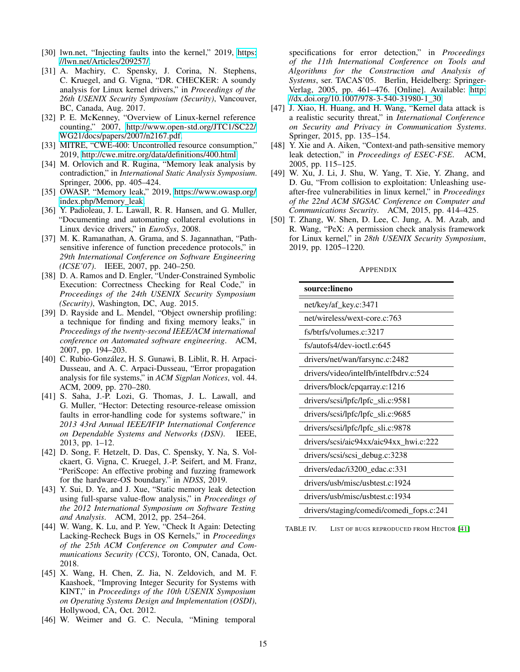- <span id="page-14-7"></span>[30] lwn.net, "Injecting faults into the kernel," 2019, [https:](https://lwn.net/Articles/209257/) [//lwn.net/Articles/209257/.](https://lwn.net/Articles/209257/)
- <span id="page-14-21"></span>[31] A. Machiry, C. Spensky, J. Corina, N. Stephens, C. Kruegel, and G. Vigna, "DR. CHECKER: A soundy analysis for Linux kernel drivers," in *Proceedings of the 26th USENIX Security Symposium (Security)*, Vancouver, BC, Canada, Aug. 2017.
- <span id="page-14-13"></span>[32] P. E. McKenney, "Overview of Linux-kernel reference counting," 2007, [http://www.open-std.org/JTC1/SC22/]( http://www.open-std.org/JTC1/SC22/WG21/docs/papers/2007/n2167.pdf) [WG21/docs/papers/2007/n2167.pdf.]( http://www.open-std.org/JTC1/SC22/WG21/docs/papers/2007/n2167.pdf)
- <span id="page-14-2"></span>[33] MITRE, "CWE-400: Uncontrolled resource consumption," 2019, [http://cwe.mitre.org/data/definitions/400.html.](http://cwe.mitre.org/data/definitions/400.html)
- <span id="page-14-14"></span>[34] M. Orlovich and R. Rugina, "Memory leak analysis by contradiction," in *International Static Analysis Symposium*. Springer, 2006, pp. 405–424.
- <span id="page-14-3"></span>[35] OWASP, "Memory leak," 2019, [https://www.owasp.org/](https://www.owasp.org/index.php/Memory_leak) [index.php/Memory\\_leak.](https://www.owasp.org/index.php/Memory_leak)
- <span id="page-14-5"></span>[36] Y. Padioleau, J. L. Lawall, R. R. Hansen, and G. Muller, "Documenting and automating collateral evolutions in Linux device drivers," in *EuroSys*, 2008.
- <span id="page-14-18"></span>[37] M. K. Ramanathan, A. Grama, and S. Jagannathan, "Pathsensitive inference of function precedence protocols," in *29th International Conference on Software Engineering (ICSE'07)*. IEEE, 2007, pp. 240–250.
- <span id="page-14-11"></span>[38] D. A. Ramos and D. Engler, "Under-Constrained Symbolic Execution: Correctness Checking for Real Code," in *Proceedings of the 24th USENIX Security Symposium (Security)*, Washington, DC, Aug. 2015.
- <span id="page-14-15"></span>[39] D. Rayside and L. Mendel, "Object ownership profiling: a technique for finding and fixing memory leaks," in *Proceedings of the twenty-second IEEE/ACM international conference on Automated software engineering*. ACM, 2007, pp. 194–203.
- <span id="page-14-20"></span>[40] C. Rubio-González, H. S. Gunawi, B. Liblit, R. H. Arpaci-Dusseau, and A. C. Arpaci-Dusseau, "Error propagation analysis for file systems," in *ACM Sigplan Notices*, vol. 44. ACM, 2009, pp. 270–280.
- <span id="page-14-4"></span>[41] S. Saha, J.-P. Lozi, G. Thomas, J. L. Lawall, and G. Muller, "Hector: Detecting resource-release omission faults in error-handling code for systems software," in *2013 43rd Annual IEEE/IFIP International Conference on Dependable Systems and Networks (DSN)*. IEEE, 2013, pp. 1–12.
- <span id="page-14-10"></span>[42] D. Song, F. Hetzelt, D. Das, C. Spensky, Y. Na, S. Volckaert, G. Vigna, C. Kruegel, J.-P. Seifert, and M. Franz, "PeriScope: An effective probing and fuzzing framework for the hardware-OS boundary." in *NDSS*, 2019.
- <span id="page-14-16"></span>[43] Y. Sui, D. Ye, and J. Xue, "Static memory leak detection using full-sparse value-flow analysis," in *Proceedings of the 2012 International Symposium on Software Testing and Analysis*. ACM, 2012, pp. 254–264.
- <span id="page-14-19"></span>[44] W. Wang, K. Lu, and P. Yew, "Check It Again: Detecting Lacking-Recheck Bugs in OS Kernels," in *Proceedings of the 25th ACM Conference on Computer and Communications Security (CCS)*, Toronto, ON, Canada, Oct. 2018.
- <span id="page-14-22"></span>[45] X. Wang, H. Chen, Z. Jia, N. Zeldovich, and M. F. Kaashoek, "Improving Integer Security for Systems with KINT," in *Proceedings of the 10th USENIX Symposium on Operating Systems Design and Implementation (OSDI)*, Hollywood, CA, Oct. 2012.
- <span id="page-14-17"></span>[46] W. Weimer and G. C. Necula, "Mining temporal

specifications for error detection," in *Proceedings of the 11th International Conference on Tools and Algorithms for the Construction and Analysis of Systems*, ser. TACAS'05. Berlin, Heidelberg: Springer-Verlag, 2005, pp. 461–476. [Online]. Available: [http:](http://dx.doi.org/10.1007/978-3-540-31980-1_30) [//dx.doi.org/10.1007/978-3-540-31980-1\\_30](http://dx.doi.org/10.1007/978-3-540-31980-1_30)

- <span id="page-14-0"></span>[47] J. Xiao, H. Huang, and H. Wang, "Kernel data attack is a realistic security threat," in *International Conference on Security and Privacy in Communication Systems*. Springer, 2015, pp. 135–154.
- <span id="page-14-6"></span>[48] Y. Xie and A. Aiken, "Context-and path-sensitive memory leak detection," in *Proceedings of ESEC-FSE*. ACM, 2005, pp. 115–125.
- <span id="page-14-1"></span>[49] W. Xu, J. Li, J. Shu, W. Yang, T. Xie, Y. Zhang, and D. Gu, "From collision to exploitation: Unleashing useafter-free vulnerabilities in linux kernel," in *Proceedings of the 22nd ACM SIGSAC Conference on Computer and Communications Security*. ACM, 2015, pp. 414–425.
- <span id="page-14-9"></span>[50] T. Zhang, W. Shen, D. Lee, C. Jung, A. M. Azab, and R. Wang, "PeX: A permission check analysis framework for Linux kernel," in *28th USENIX Security Symposium*, 2019, pp. 1205–1220.

#### <span id="page-14-8"></span>**APPENDIX**

| source:lineno                            |
|------------------------------------------|
| net/key/af_key.c:3471                    |
| net/wireless/wext-core.c:763             |
| fs/btrfs/volumes.c:3217                  |
| $fs/autofs4/dev-ioctl.c:645$             |
| drivers/net/wan/farsync.c:2482           |
| drivers/video/intelfb/intelfbdrv.c:524   |
| drivers/block/cpqarray.c:1216            |
| drivers/scsi/lpfc/lpfc_sli.c:9581        |
| drivers/scsi/lpfc/lpfc_sli.c:9685        |
| drivers/scsi/lpfc/lpfc_sli.c:9878        |
| drivers/scsi/aic94xx/aic94xx_hwi.c:222   |
| drivers/scsi/scsi_debug.c:3238           |
| drivers/edac/i3200_edac.c:331            |
| drivers/usb/misc/usbtest.c:1924          |
| drivers/usb/misc/usbtest.c:1934          |
| drivers/staging/comedi/comedi_fops.c:241 |

<span id="page-14-12"></span>TABLE IV. LIST OF BUGS REPRODUCED FROM HECTOR [\[41\]](#page-14-4)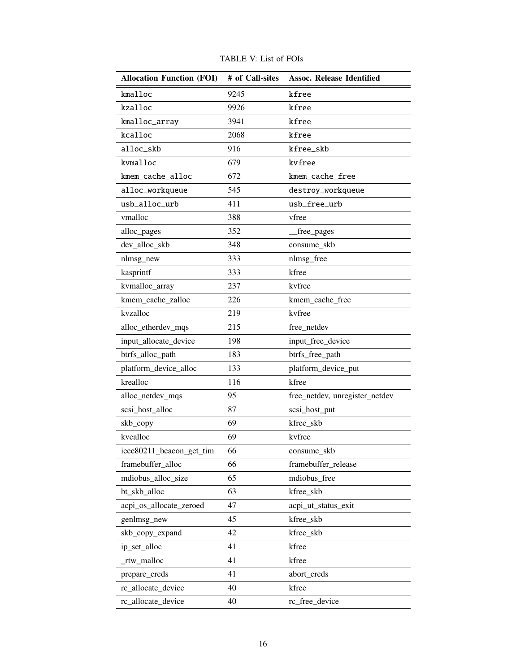<span id="page-15-0"></span>

| <b>Allocation Function (FOI)</b> | # of Call-sites | <b>Assoc. Release Identified</b> |  |  |  |  |
|----------------------------------|-----------------|----------------------------------|--|--|--|--|
| kmalloc                          | 9245            | kfree                            |  |  |  |  |
| kzalloc                          | 9926            | kfree                            |  |  |  |  |
| kmalloc_array                    | 3941            | kfree                            |  |  |  |  |
| kcalloc                          | 2068            | kfree                            |  |  |  |  |
| alloc_skb                        | 916             | kfree_skb                        |  |  |  |  |
| kvmalloc                         | 679             | kvfree                           |  |  |  |  |
| kmem_cache_alloc                 | 672             | kmem_cache_free                  |  |  |  |  |
| alloc_workqueue                  | 545             | destroy_workqueue                |  |  |  |  |
| usb_alloc_urb                    | 411             | usb_free_urb                     |  |  |  |  |
| vmalloc                          | 388             | vfree                            |  |  |  |  |
| alloc_pages                      | 352             | free_pages                       |  |  |  |  |
| dev_alloc_skb                    | 348             | consume_skb                      |  |  |  |  |
| nlmsg_new                        | 333             | nlmsg_free                       |  |  |  |  |
| kasprintf                        | 333             | kfree                            |  |  |  |  |
| kvmalloc_array                   | 237             | kvfree                           |  |  |  |  |
| kmem_cache_zalloc                | 226             | kmem_cache_free                  |  |  |  |  |
| kvzalloc                         | 219             | kvfree                           |  |  |  |  |
| alloc_etherdev_mqs               | 215             | free_netdev                      |  |  |  |  |
| input_allocate_device            | 198             | input_free_device                |  |  |  |  |
| btrfs_alloc_path                 | 183             | btrfs_free_path                  |  |  |  |  |
| platform_device_alloc            | 133             | platform_device_put              |  |  |  |  |
| krealloc                         | 116             | kfree                            |  |  |  |  |
| alloc_netdev_mqs                 | 95              | free_netdev, unregister_netdev   |  |  |  |  |
| scsi_host_alloc                  | 87              | scsi_host_put                    |  |  |  |  |
| skb_copy                         | 69              | kfree_skb                        |  |  |  |  |
| kvcalloc                         | 69              | kvfree                           |  |  |  |  |
| ieee80211_beacon_get_tim         | 66              | consume skb                      |  |  |  |  |
| framebuffer_alloc                | 66              | framebuffer_release              |  |  |  |  |
| mdiobus_alloc_size               | 65              | mdiobus_free                     |  |  |  |  |
| bt skb alloc                     | 63              | kfree_skb                        |  |  |  |  |
| acpi_os_allocate_zeroed          | 47              | acpi_ut_status_exit              |  |  |  |  |
| genlmsg_new                      | 45              | kfree_skb                        |  |  |  |  |
| skb_copy_expand                  | 42              | kfree_skb                        |  |  |  |  |
| ip set alloc                     | 41              | kfree                            |  |  |  |  |
| _rtw_malloc                      | 41              | kfree                            |  |  |  |  |
| prepare_creds                    | 41              | abort_creds                      |  |  |  |  |
| rc_allocate_device               | 40              | kfree                            |  |  |  |  |
| rc_allocate_device               | 40              | rc_free_device                   |  |  |  |  |

TABLE V: List of FOIs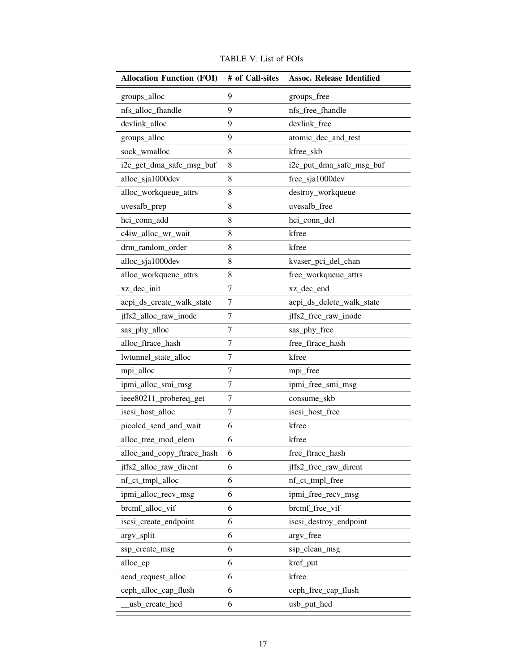| <b>Allocation Function (FOI)</b> | # of Call-sites | <b>Assoc. Release Identified</b> |
|----------------------------------|-----------------|----------------------------------|
| groups_alloc                     | 9               | groups_free                      |
| nfs_alloc_fhandle                | 9               | nfs_free_fhandle                 |
| devlink_alloc                    | 9               | devlink_free                     |
| groups_alloc                     | 9               | atomic_dec_and_test              |
| sock_wmalloc                     | 8               | kfree_skb                        |
| i2c_get_dma_safe_msg_buf         | 8               | i2c_put_dma_safe_msg_buf         |
| alloc_sja1000dev                 | 8               | free_sja1000dev                  |
| alloc_workqueue_attrs            | 8               | destroy_workqueue                |
| uvesafb_prep                     | 8               | uvesafb free                     |
| hci_conn_add                     | 8               | hci_conn_del                     |
| c4iw_alloc_wr_wait               | 8               | kfree                            |
| drm_random_order                 | 8               | kfree                            |
| alloc_sja1000dev                 | 8               | kvaser_pci_del_chan              |
| alloc_workqueue_attrs            | 8               | free_workqueue_attrs             |
| xz_dec_init                      | 7               | xz_dec_end                       |
| acpi_ds_create_walk_state        | 7               | acpi_ds_delete_walk_state        |
| jffs2_alloc_raw_inode            | 7               | jffs2_free_raw_inode             |
| sas_phy_alloc                    | 7               | sas_phy_free                     |
| alloc_ftrace_hash                | 7               | free_ftrace_hash                 |
| lwtunnel_state_alloc             | 7               | kfree                            |
| mpi_alloc                        | 7               | mpi_free                         |
| ipmi_alloc_smi_msg               | 7               | ipmi_free_smi_msg                |
| ieee80211_probereq_get           | 7               | consume_skb                      |
| iscsi_host_alloc                 | 7               | iscsi_host_free                  |
| picolcd_send_and_wait            | 6               | kfree                            |
| alloc_tree_mod_elem              | 6               | kfree                            |
| alloc_and_copy_ftrace_hash       | 6               | free_ftrace_hash                 |
| jffs2_alloc_raw_dirent           | 6               | jffs2_free_raw_dirent            |
| nf_ct_tmpl_alloc                 | 6               | nf_ct_tmpl_free                  |
| ipmi_alloc_recv_msg              | 6               | ipmi_free_recv_msg               |
| brcmf_alloc_vif                  | 6               | brcmf_free_vif                   |
| iscsi_create_endpoint            | 6               | iscsi_destroy_endpoint           |
| argv_split                       | 6               | argv_free                        |
| ssp_create_msg                   | 6               | ssp_clean_msg                    |
| alloc_ep                         | 6               | kref_put                         |
| aead_request_alloc               | 6               | kfree                            |
| ceph_alloc_cap_flush             | 6               | ceph_free_cap_flush              |
| usb_create_hcd                   | 6               | usb_put_hcd                      |

TABLE V: List of FOIs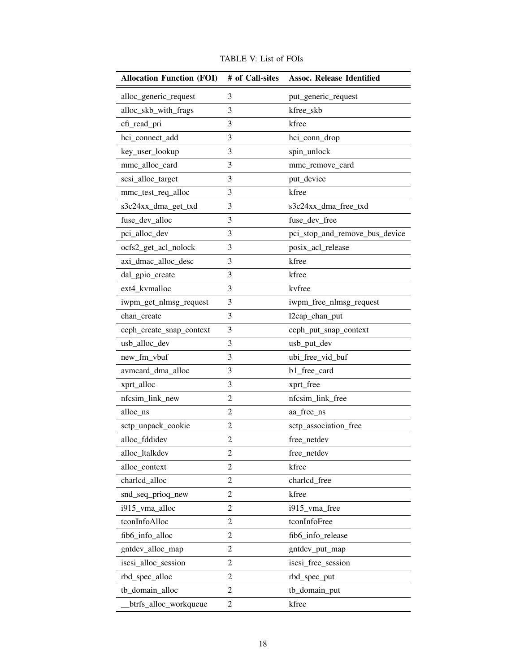| <b>Allocation Function (FOI)</b> | # of Call-sites | <b>Assoc. Release Identified</b> |
|----------------------------------|-----------------|----------------------------------|
| alloc_generic_request            | 3               | put_generic_request              |
| alloc_skb_with_frags             | 3               | kfree_skb                        |
| cfi_read_pri                     | 3               | kfree                            |
| hci_connect_add                  | 3               | hci_conn_drop                    |
| key_user_lookup                  | 3               | spin_unlock                      |
| mmc_alloc_card                   | 3               | mmc_remove_card                  |
| scsi_alloc_target                | 3               | put_device                       |
| mmc_test_req_alloc               | 3               | kfree                            |
| s3c24xx_dma_get_txd              | 3               | s3c24xx_dma_free_txd             |
| fuse_dev_alloc                   | 3               | fuse_dev_free                    |
| pci_alloc_dev                    | 3               | pci_stop_and_remove_bus_device   |
| ocfs2_get_acl_nolock             | 3               | posix_acl_release                |
| axi_dmac_alloc_desc              | 3               | kfree                            |
| dal_gpio_create                  | 3               | kfree                            |
| ext4 kvmalloc                    | 3               | kvfree                           |
| iwpm_get_nlmsg_request           | 3               | iwpm_free_nlmsg_request          |
| chan_create                      | 3               | 12cap_chan_put                   |
| ceph_create_snap_context         | 3               | ceph_put_snap_context            |
| usb_alloc_dev                    | 3               | usb_put_dev                      |
| new_fm_vbuf                      | 3               | ubi_free_vid_buf                 |
| avmcard_dma_alloc                | 3               | b1_free_card                     |
| xprt_alloc                       | 3               | xprt_free                        |
| nfcsim_link_new                  | $\overline{2}$  | nfcsim_link_free                 |
| alloc_ns                         | $\overline{2}$  | aa_free_ns                       |
| sctp_unpack_cookie               | 2               | sctp_association_free            |
| alloc_fddidev                    | $\overline{2}$  | free_netdev                      |
| alloc_ltalkdev                   | $\overline{c}$  | free_netdev                      |
| alloc_context                    | 2               | kfree                            |
| charlcd_alloc                    | $\overline{2}$  | charlcd free                     |
| snd_seq_prioq_new                | $\overline{2}$  | kfree                            |
| i915_vma_alloc                   | 2               | i915_vma_free                    |
| tconInfoAlloc                    | $\overline{2}$  | tconInfoFree                     |
| fib6_info_alloc                  | $\overline{2}$  | fib6_info_release                |
| gntdev_alloc_map                 | $\overline{2}$  | gntdev_put_map                   |
| iscsi_alloc_session              | $\overline{2}$  | iscsi_free_session               |
| rbd_spec_alloc                   | $\overline{2}$  | rbd_spec_put                     |
| tb_domain_alloc                  | $\overline{2}$  | tb_domain_put                    |
| btrfs_alloc_workqueue            | $\overline{2}$  | kfree                            |

TABLE V: List of FOIs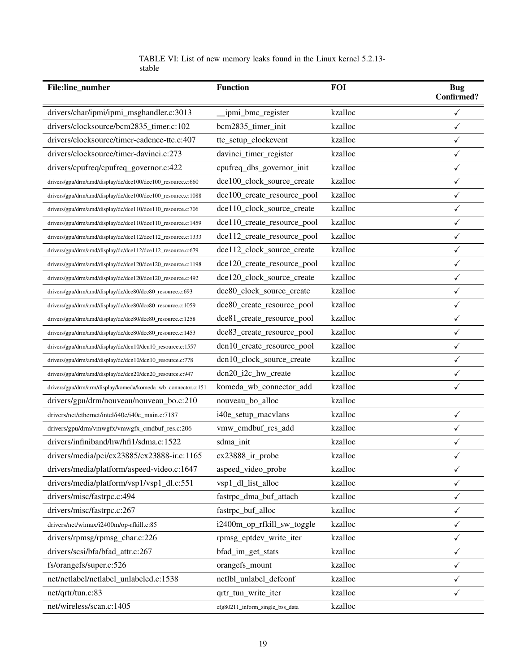|        |  | TABLE VI: List of new memory leaks found in the Linux kernel 5.2.13- |  |  |  |  |
|--------|--|----------------------------------------------------------------------|--|--|--|--|
| stable |  |                                                                      |  |  |  |  |

<span id="page-18-0"></span>

| File:line_number                                             | <b>Function</b>                 | <b>FOI</b> | <b>Bug</b><br><b>Confirmed?</b> |
|--------------------------------------------------------------|---------------------------------|------------|---------------------------------|
| drivers/char/ipmi/ipmi_msghandler.c:3013                     | _ipmi_bmc_register              | kzalloc    | $\checkmark$                    |
| drivers/clocksource/bcm2835_timer.c:102                      | bcm2835_timer_init              | kzalloc    | $\checkmark$                    |
| drivers/clocksource/timer-cadence-ttc.c:407                  | ttc_setup_clockevent            | kzalloc    | $\checkmark$                    |
| drivers/clocksource/timer-davinci.c:273                      | davinci_timer_register          | kzalloc    | $\checkmark$                    |
| drivers/cpufreq/cpufreq_governor.c:422                       | cpufreq_dbs_governor_init       | kzalloc    | $\checkmark$                    |
| drivers/gpu/drm/amd/display/dc/dce100/dce100_resource.c:660  | dce100_clock_source_create      | kzalloc    | $\checkmark$                    |
| drivers/gpu/drm/amd/display/dc/dce100/dce100_resource.c:1088 | dce100_create_resource_pool     | kzalloc    | $\checkmark$                    |
| drivers/gpu/drm/amd/display/dc/dce110/dce110_resource.c:706  | dce110_clock_source_create      | kzalloc    | $\checkmark$                    |
| drivers/gpu/drm/amd/display/dc/dce110/dce110_resource.c:1459 | dce110_create_resource_pool     | kzalloc    | $\checkmark$                    |
| drivers/gpu/drm/amd/display/dc/dce112/dce112_resource.c:1333 | dce112_create_resource_pool     | kzalloc    | $\checkmark$                    |
| drivers/gpu/drm/amd/display/dc/dce112/dce112_resource.c:679  | dce112_clock_source_create      | kzalloc    | $\checkmark$                    |
| drivers/gpu/drm/amd/display/dc/dce120/dce120_resource.c:1198 | dce120_create_resource_pool     | kzalloc    | $\checkmark$                    |
| drivers/gpu/drm/amd/display/dc/dce120/dce120_resource.c:492  | dce120_clock_source_create      | kzalloc    | $\checkmark$                    |
| drivers/gpu/drm/amd/display/dc/dce80/dce80_resource.c:693    | dce80 clock source create       | kzalloc    | $\checkmark$                    |
| drivers/gpu/drm/amd/display/dc/dce80/dce80_resource.c:1059   | dce80_create_resource_pool      | kzalloc    | $\checkmark$                    |
| drivers/gpu/drm/amd/display/dc/dce80/dce80_resource.c:1258   | dce81_create_resource_pool      | kzalloc    | $\checkmark$                    |
| drivers/gpu/drm/amd/display/dc/dce80/dce80_resource.c:1453   | dce83_create_resource_pool      | kzalloc    | $\checkmark$                    |
| drivers/gpu/drm/amd/display/dc/dcn10/dcn10_resource.c:1557   | dcn10_create_resource_pool      | kzalloc    | $\checkmark$                    |
| drivers/gpu/drm/amd/display/dc/dcn10/dcn10_resource.c:778    | dcn10_clock_source_create       | kzalloc    | $\checkmark$                    |
| drivers/gpu/drm/amd/display/dc/dcn20/dcn20_resource.c:947    | dcn20_i2c_hw_create             | kzalloc    | ✓                               |
| drivers/gpu/drm/arm/display/komeda/komeda_wb_connector.c:151 | komeda_wb_connector_add         | kzalloc    | $\checkmark$                    |
| drivers/gpu/drm/nouveau/nouveau_bo.c:210                     | nouveau_bo_alloc                | kzalloc    |                                 |
| drivers/net/ethernet/intel/i40e/i40e_main.c:7187             | i40e_setup_macvlans             | kzalloc    | ✓                               |
| drivers/gpu/drm/vmwgfx/vmwgfx_cmdbuf_res.c:206               | vmw_cmdbuf_res_add              | kzalloc    | $\checkmark$                    |
| drivers/infiniband/hw/hfi1/sdma.c:1522                       | sdma_init                       | kzalloc    | $\checkmark$                    |
| drivers/media/pci/cx23885/cx23888-ir.c:1165                  | cx23888_ir_probe                | kzalloc    | ✓                               |
| drivers/media/platform/aspeed-video.c:1647                   | aspeed_video_probe              | kzalloc    | $\checkmark$                    |
| drivers/media/platform/vsp1/vsp1_dl.c:551                    | vsp1_dl_list_alloc              | kzalloc    | $\checkmark$                    |
| drivers/misc/fastrpc.c:494                                   | fastrpc_dma_buf_attach          | kzalloc    | $\checkmark$                    |
| drivers/misc/fastrpc.c:267                                   | fastrpc_buf_alloc               | kzalloc    | $\checkmark$                    |
| drivers/net/wimax/i2400m/op-rfkill.c:85                      | i2400m_op_rfkill_sw_toggle      | kzalloc    | $\checkmark$                    |
| drivers/rpmsg/rpmsg_char.c:226                               | rpmsg_eptdev_write_iter         | kzalloc    | $\checkmark$                    |
| drivers/scsi/bfa/bfad attr.c:267                             | bfad_im_get_stats               | kzalloc    | $\checkmark$                    |
| fs/orangefs/super.c:526                                      | orangefs_mount                  | kzalloc    | $\checkmark$                    |
| net/netlabel/netlabel_unlabeled.c:1538                       | netlbl_unlabel_defconf          | kzalloc    | $\checkmark$                    |
| net/qrtr/tun.c:83                                            | qrtr_tun_write_iter             | kzalloc    | $\checkmark$                    |
| net/wireless/scan.c:1405                                     | cfg80211_inform_single_bss_data | kzalloc    |                                 |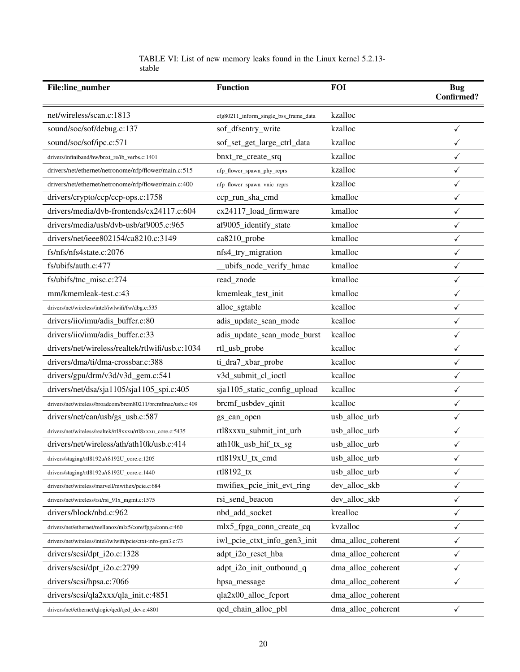| TABLE VI: List of new memory leaks found in the Linux kernel 5.2.13- |  |  |  |  |  |
|----------------------------------------------------------------------|--|--|--|--|--|
| stable                                                               |  |  |  |  |  |

| File:line_number                                            | <b>Function</b>                       | <b>FOI</b>         | <b>Bug</b><br><b>Confirmed?</b> |
|-------------------------------------------------------------|---------------------------------------|--------------------|---------------------------------|
| net/wireless/scan.c:1813                                    | cfg80211_inform_single_bss_frame_data | kzalloc            |                                 |
| sound/soc/sof/debug.c:137                                   | sof_dfsentry_write                    | kzalloc            | $\checkmark$                    |
| sound/soc/sof/ipc.c:571                                     | sof_set_get_large_ctrl_data           | kzalloc            | $\checkmark$                    |
| drivers/infiniband/hw/bnxt_re/ib_verbs.c:1401               | bnxt_re_create_srq                    | kzalloc            | $\checkmark$                    |
| drivers/net/ethernet/netronome/nfp/flower/main.c:515        | nfp_flower_spawn_phy_reprs            | kzalloc            | $\checkmark$                    |
| drivers/net/ethernet/netronome/nfp/flower/main.c:400        | nfp_flower_spawn_vnic_reprs           | kzalloc            | $\checkmark$                    |
| drivers/crypto/ccp/ccp-ops.c:1758                           | ccp_run_sha_cmd                       | kmalloc            | $\checkmark$                    |
| drivers/media/dvb-frontends/cx24117.c:604                   | cx24117_load_firmware                 | kmalloc            | $\checkmark$                    |
| drivers/media/usb/dvb-usb/af9005.c:965                      | af9005_identify_state                 | kmalloc            | $\checkmark$                    |
| drivers/net/ieee802154/ca8210.c:3149                        | ca8210_probe                          | kmalloc            | $\checkmark$                    |
| fs/nfs/nfs4state.c:2076                                     | nfs4_try_migration                    | kmalloc            | $\checkmark$                    |
| fs/ubifs/auth.c:477                                         | ubifs_node_verify_hmac                | kmalloc            | $\checkmark$                    |
| fs/ubifs/tnc_misc.c:274                                     | read_znode                            | kmalloc            | $\checkmark$                    |
| mm/kmemleak-test.c:43                                       | kmemleak_test_init                    | kmalloc            | $\checkmark$                    |
| drivers/net/wireless/intel/iwlwifi/fw/dbg.c:535             | alloc_sgtable                         | kcalloc            | $\checkmark$                    |
| drivers/iio/imu/adis_buffer.c:80                            | adis_update_scan_mode                 | kcalloc            | $\checkmark$                    |
| drivers/iio/imu/adis_buffer.c:33                            | adis_update_scan_mode_burst           | kcalloc            | $\checkmark$                    |
| drivers/net/wireless/realtek/rtlwifi/usb.c:1034             | rtl_usb_probe                         | kcalloc            | $\checkmark$                    |
| drivers/dma/ti/dma-crossbar.c:388                           | ti_dra7_xbar_probe                    | kcalloc            | $\checkmark$                    |
| drivers/gpu/drm/v3d/v3d_gem.c:541                           | v3d_submit_cl_ioctl                   | kcalloc            | $\checkmark$                    |
| drivers/net/dsa/sja1105/sja1105_spi.c:405                   | sja1105_static_config_upload          | kcalloc            | $\checkmark$                    |
| drivers/net/wireless/broadcom/brcm80211/brcmfmac/usb.c:409  | brcmf_usbdev_qinit                    | kcalloc            | ✓                               |
| drivers/net/can/usb/gs_usb.c:587                            | gs_can_open                           | usb_alloc_urb      | $\checkmark$                    |
| drivers/net/wireless/realtek/rtl8xxxu/rtl8xxxu_core.c:5435  | rtl8xxxu_submit_int_urb               | usb_alloc_urb      | $\checkmark$                    |
| drivers/net/wireless/ath/ath10k/usb.c:414                   | ath10k_usb_hif_tx_sg                  | usb_alloc_urb      | $\checkmark$                    |
| drivers/staging/rtl8192u/r8192U_core.c:1205                 | rtl819xU_tx_cmd                       | usb_alloc_urb      | $\checkmark$                    |
| drivers/staging/rtl8192u/r8192U_core.c:1440                 | rtl8192_tx                            | usb_alloc_urb      | $\checkmark$                    |
| drivers/net/wireless/marvell/mwifiex/pcie.c:684             | mwifiex_pcie_init_evt_ring            | dev_alloc_skb      | $\checkmark$                    |
| drivers/net/wireless/rsi/rsi_91x_mgmt.c:1575                | rsi_send_beacon                       | dev_alloc_skb      | $\checkmark$                    |
| drivers/block/nbd.c:962                                     | nbd add socket                        | krealloc           | $\checkmark$                    |
| drivers/net/ethernet/mellanox/mlx5/core/fpga/conn.c:460     | mlx5_fpga_conn_create_cq              | kvzalloc           | $\checkmark$                    |
| drivers/net/wireless/intel/iwlwifi/pcie/ctxt-info-gen3.c:73 | iwl_pcie_ctxt_info_gen3_init          | dma_alloc_coherent | $\checkmark$                    |
| drivers/scsi/dpt_i2o.c:1328                                 | adpt_i2o_reset_hba                    | dma_alloc_coherent | $\checkmark$                    |
| drivers/scsi/dpt_i2o.c:2799                                 | adpt_i2o_init_outbound_q              | dma_alloc_coherent | $\checkmark$                    |
| drivers/scsi/hpsa.c:7066                                    | hpsa_message                          | dma_alloc_coherent | $\checkmark$                    |
| drivers/scsi/qla2xxx/qla_init.c:4851                        | qla2x00_alloc_fcport                  | dma_alloc_coherent |                                 |
| drivers/net/ethernet/qlogic/qed/qed_dev.c:4801              | qed_chain_alloc_pbl                   | dma_alloc_coherent | $\checkmark$                    |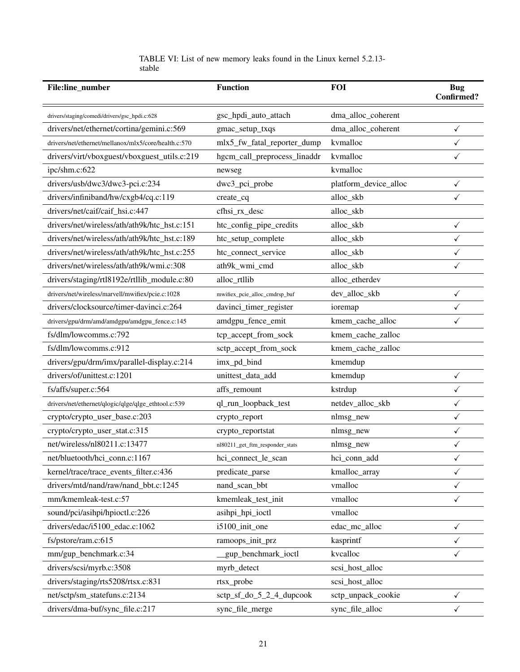|        |  | TABLE VI: List of new memory leaks found in the Linux kernel 5.2.13- |  |  |  |  |
|--------|--|----------------------------------------------------------------------|--|--|--|--|
| stable |  |                                                                      |  |  |  |  |

| File:line_number                                     | <b>Function</b>                 | <b>FOI</b>            | <b>Bug</b><br><b>Confirmed?</b> |  |
|------------------------------------------------------|---------------------------------|-----------------------|---------------------------------|--|
| drivers/staging/comedi/drivers/gsc_hpdi.c:628        | gsc_hpdi_auto_attach            | dma_alloc_coherent    |                                 |  |
| drivers/net/ethernet/cortina/gemini.c:569            | gmac_setup_txqs                 | dma_alloc_coherent    | $\checkmark$                    |  |
| drivers/net/ethernet/mellanox/mlx5/core/health.c:570 | mlx5_fw_fatal_reporter_dump     | kvmalloc              | $\checkmark$                    |  |
| drivers/virt/vboxguest/vboxguest_utils.c:219         | hgcm_call_preprocess_linaddr    | kvmalloc              | ✓                               |  |
| ipc/shm.c:622                                        | newseg                          | kvmalloc              |                                 |  |
| drivers/usb/dwc3/dwc3-pci.c:234                      | dwc3_pci_probe                  | platform_device_alloc | ✓                               |  |
| drivers/infiniband/hw/cxgb4/cq.c:119                 | create_cq                       | alloc_skb             | ✓                               |  |
| drivers/net/caif/caif_hsi.c:447                      | cfhsi_rx_desc                   | alloc_skb             |                                 |  |
| drivers/net/wireless/ath/ath9k/htc_hst.c:151         | htc_config_pipe_credits         | alloc_skb             | $\checkmark$                    |  |
| drivers/net/wireless/ath/ath9k/htc_hst.c:189         | htc_setup_complete              | alloc_skb             | ✓                               |  |
| drivers/net/wireless/ath/ath9k/htc_hst.c:255         | htc_connect_service             | alloc_skb             | $\checkmark$                    |  |
| drivers/net/wireless/ath/ath9k/wmi.c:308             | ath9k_wmi_cmd                   | alloc_skb             | ✓                               |  |
| drivers/staging/rtl8192e/rtllib_module.c:80          | alloc_rtllib                    | alloc_etherdev        |                                 |  |
| drivers/net/wireless/marvell/mwifiex/pcie.c:1028     | mwifiex_pcie_alloc_cmdrsp_buf   | dev_alloc_skb         | $\checkmark$                    |  |
| drivers/clocksource/timer-davinci.c:264              | davinci_timer_register          | ioremap               | $\checkmark$                    |  |
| drivers/gpu/drm/amd/amdgpu/amdgpu_fence.c:145        | amdgpu_fence_emit               | kmem_cache_alloc      | $\checkmark$                    |  |
| fs/dlm/lowcomms.c:792                                | tcp_accept_from_sock            | kmem_cache_zalloc     |                                 |  |
| fs/dlm/lowcomms.c:912                                | sctp_accept_from_sock           | kmem_cache_zalloc     |                                 |  |
| drivers/gpu/drm/imx/parallel-display.c:214           | imx_pd_bind                     | kmemdup               |                                 |  |
| drivers/of/unittest.c:1201                           | unittest_data_add               | kmemdup               | $\checkmark$                    |  |
| fs/affs/super.c:564                                  | affs_remount                    | kstrdup               | $\checkmark$                    |  |
| drivers/net/ethernet/qlogic/qlge/qlge_ethtool.c:539  | ql_run_loopback_test            | netdev_alloc_skb      | $\checkmark$                    |  |
| crypto/crypto_user_base.c:203                        | crypto_report                   | nlmsg_new             | $\checkmark$                    |  |
| crypto/crypto_user_stat.c:315                        | crypto_reportstat               | nlmsg_new             | $\checkmark$                    |  |
| net/wireless/nl80211.c:13477                         | nl80211_get_ftm_responder_stats | nlmsg_new             | ✓                               |  |
| net/bluetooth/hci_conn.c:1167                        | hci_connect_le_scan             | hci_conn_add          |                                 |  |
| kernel/trace/trace_events_filter.c:436               | predicate_parse                 | kmalloc_array         | $\checkmark$                    |  |
| drivers/mtd/nand/raw/nand_bbt.c:1245                 | nand_scan_bbt                   | vmalloc               | $\checkmark$                    |  |
| mm/kmemleak-test.c:57                                | kmemleak_test_init              | vmalloc               | $\checkmark$                    |  |
| sound/pci/asihpi/hpioctl.c:226                       | asihpi_hpi_ioctl                | vmalloc               |                                 |  |
| drivers/edac/i5100_edac.c:1062                       | i5100_init_one                  | edac_mc_alloc         | $\checkmark$                    |  |
| fs/pstore/ram.c:615                                  | ramoops_init_prz                | kasprintf             | $\checkmark$                    |  |
| mm/gup_benchmark.c:34                                | gup_benchmark_ioctl             | kvcalloc              | $\checkmark$                    |  |
| drivers/scsi/myrb.c:3508                             | myrb_detect                     | scsi_host_alloc       |                                 |  |
| drivers/staging/rts5208/rtsx.c:831                   | rtsx_probe                      | scsi_host_alloc       |                                 |  |
| net/sctp/sm_statefuns.c:2134                         | $setp_sf_do_5_2_4_dupcock$      | sctp_unpack_cookie    | $\checkmark$                    |  |
| drivers/dma-buf/sync_file.c:217                      | sync_file_merge                 | sync_file_alloc       | $\checkmark$                    |  |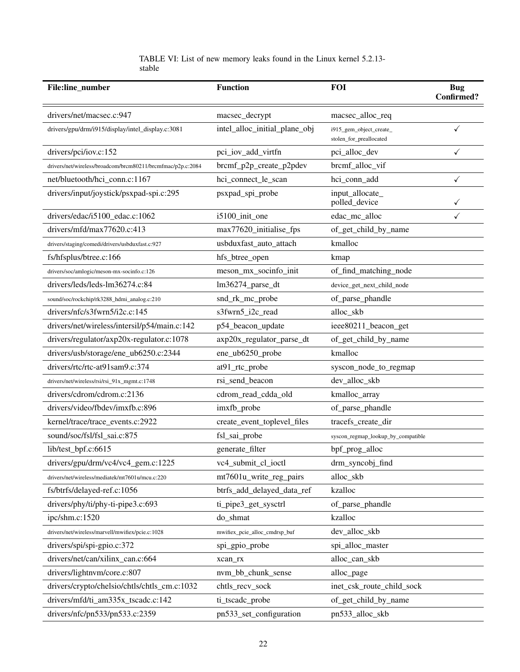# TABLE VI: List of new memory leaks found in the Linux kernel 5.2.13 stable

| File:line_number                                            | <b>Function</b>               | <b>FOI</b>                                         | <b>Bug</b><br><b>Confirmed?</b> |
|-------------------------------------------------------------|-------------------------------|----------------------------------------------------|---------------------------------|
| drivers/net/macsec.c:947                                    | macsec_decrypt                | macsec_alloc_req                                   |                                 |
| drivers/gpu/drm/i915/display/intel_display.c:3081           | intel_alloc_initial_plane_obj | i915_gem_object_create_<br>stolen_for_preallocated | ✓                               |
| drivers/pci/iov.c:152                                       | pci_iov_add_virtfn            | pci_alloc_dev                                      | ✓                               |
| drivers/net/wireless/broadcom/brcm80211/brcmfmac/p2p.c:2084 | brcmf_p2p_create_p2pdev       | brcmf_alloc_vif                                    |                                 |
| net/bluetooth/hci_conn.c:1167                               | hci_connect_le_scan           | hci_conn_add                                       | $\checkmark$                    |
| drivers/input/joystick/psxpad-spi.c:295                     | psxpad_spi_probe              | input_allocate_<br>polled_device                   |                                 |
| drivers/edac/i5100_edac.c:1062                              | i5100_init_one                | edac_mc_alloc                                      |                                 |
| drivers/mfd/max77620.c:413                                  | max77620_initialise_fps       | of_get_child_by_name                               |                                 |
| drivers/staging/comedi/drivers/usbduxfast.c:927             | usbduxfast_auto_attach        | kmalloc                                            |                                 |
| fs/hfsplus/btree.c:166                                      | hfs_btree_open                | kmap                                               |                                 |
| drivers/soc/amlogic/meson-mx-socinfo.c:126                  | meson_mx_socinfo_init         | of_find_matching_node                              |                                 |
| drivers/leds/leds-lm36274.c:84                              | lm36274_parse_dt              | device_get_next_child_node                         |                                 |
| sound/soc/rockchip/rk3288_hdmi_analog.c:210                 | snd_rk_mc_probe               | of_parse_phandle                                   |                                 |
| drivers/nfc/s3fwrn5/i2c.c:145                               | s3fwrn5_i2c_read              | alloc_skb                                          |                                 |
| drivers/net/wireless/intersil/p54/main.c:142                | p54_beacon_update             | ieee80211_beacon_get                               |                                 |
| drivers/regulator/axp20x-regulator.c:1078                   | axp20x_regulator_parse_dt     | of_get_child_by_name                               |                                 |
| drivers/usb/storage/ene_ub6250.c:2344                       | ene_ub6250_probe              | kmalloc                                            |                                 |
| drivers/rtc/rtc-at91sam9.c:374                              | at91_rtc_probe                | syscon_node_to_regmap                              |                                 |
| drivers/net/wireless/rsi/rsi_91x_mgmt.c:1748                | rsi_send_beacon               | dev_alloc_skb                                      |                                 |
| drivers/cdrom/cdrom.c:2136                                  | cdrom_read_cdda_old           | kmalloc_array                                      |                                 |
| drivers/video/fbdev/imxfb.c:896                             | imxfb_probe                   | of_parse_phandle                                   |                                 |
| kernel/trace/trace_events.c:2922                            | create_event_toplevel_files   | tracefs_create_dir                                 |                                 |
| sound/soc/fsl/fsl_sai.c:875                                 | fsl_sai_probe                 | syscon_regmap_lookup_by_compatible                 |                                 |
| lib/test_bpf.c:6615                                         | generate_filter               | bpf_prog_alloc                                     |                                 |
| drivers/gpu/drm/vc4/vc4_gem.c:1225                          | vc4_submit_cl_ioctl           | drm_syncobj_find                                   |                                 |
| drivers/net/wireless/mediatek/mt7601u/mcu.c:220             | mt7601u_write_reg_pairs       | alloc_skb                                          |                                 |
| fs/btrfs/delayed-ref.c:1056                                 | btrfs_add_delayed_data_ref    | kzalloc                                            |                                 |
| drivers/phy/ti/phy-ti-pipe3.c:693                           | ti_pipe3_get_sysctrl          | of_parse_phandle                                   |                                 |
| ipc/shm.c:1520                                              | do_shmat                      | kzalloc                                            |                                 |
| drivers/net/wireless/marvell/mwifiex/pcie.c:1028            | mwifiex_pcie_alloc_cmdrsp_buf | dev_alloc_skb                                      |                                 |
| drivers/spi/spi-gpio.c:372                                  | spi_gpio_probe                | spi_alloc_master                                   |                                 |
| drivers/net/can/xilinx_can.c:664                            | xcan_rx                       | alloc_can_skb                                      |                                 |
| drivers/lightnvm/core.c:807                                 | nvm_bb_chunk_sense            | alloc_page                                         |                                 |
| drivers/crypto/chelsio/chtls/chtls_cm.c:1032                | chtls_recv_sock               | inet_csk_route_child_sock                          |                                 |
| drivers/mfd/ti_am335x_tscadc.c:142                          | ti_tscadc_probe               | of_get_child_by_name                               |                                 |
| drivers/nfc/pn533/pn533.c:2359                              | pn533_set_configuration       | pn533_alloc_skb                                    |                                 |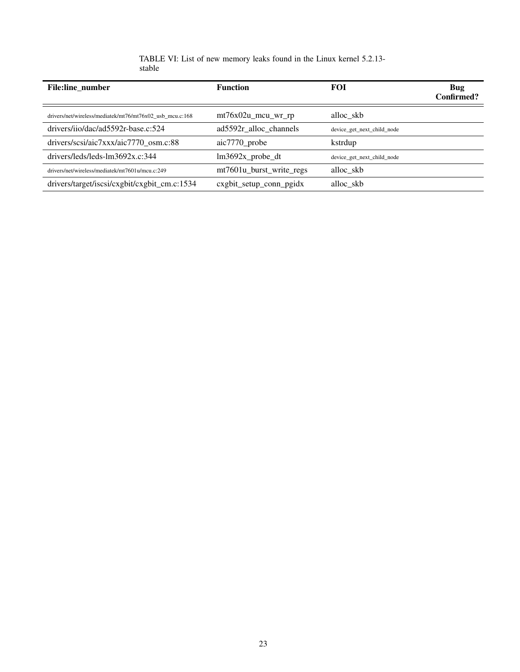| <b>File:line number</b>                                  | <b>Function</b>          | <b>FOI</b>                 | Bug<br>Confirmed? |
|----------------------------------------------------------|--------------------------|----------------------------|-------------------|
| drivers/net/wireless/mediatek/mt76/mt76x02 usb mcu.c:168 | $mt76x02u$ mcu wr rp     | alloc skb                  |                   |
| drivers/iio/dac/ad5592r-base.c:524                       | ad5592r_alloc_channels   | device get next child node |                   |
| drivers/scsi/aic7xxx/aic7770 osm.c:88                    | $aic7770$ _probe         | kstrdup                    |                   |
| $drivers/leds/leds-Im3692x.c:344$                        | $lm3692x$ _probe_dt      | device get next child node |                   |
| drivers/net/wireless/mediatek/mt7601u/mcu.c:249          | mt7601u burst write regs | alloc skb                  |                   |
| drivers/target/iscsi/cxgbit/cxgbit_cm.c:1534             | cxgbit_setup_conn_pgidx  | alloc skb                  |                   |

| TABLE VI: List of new memory leaks found in the Linux kernel 5.2.13- |  |  |  |  |  |  |
|----------------------------------------------------------------------|--|--|--|--|--|--|
| stable                                                               |  |  |  |  |  |  |